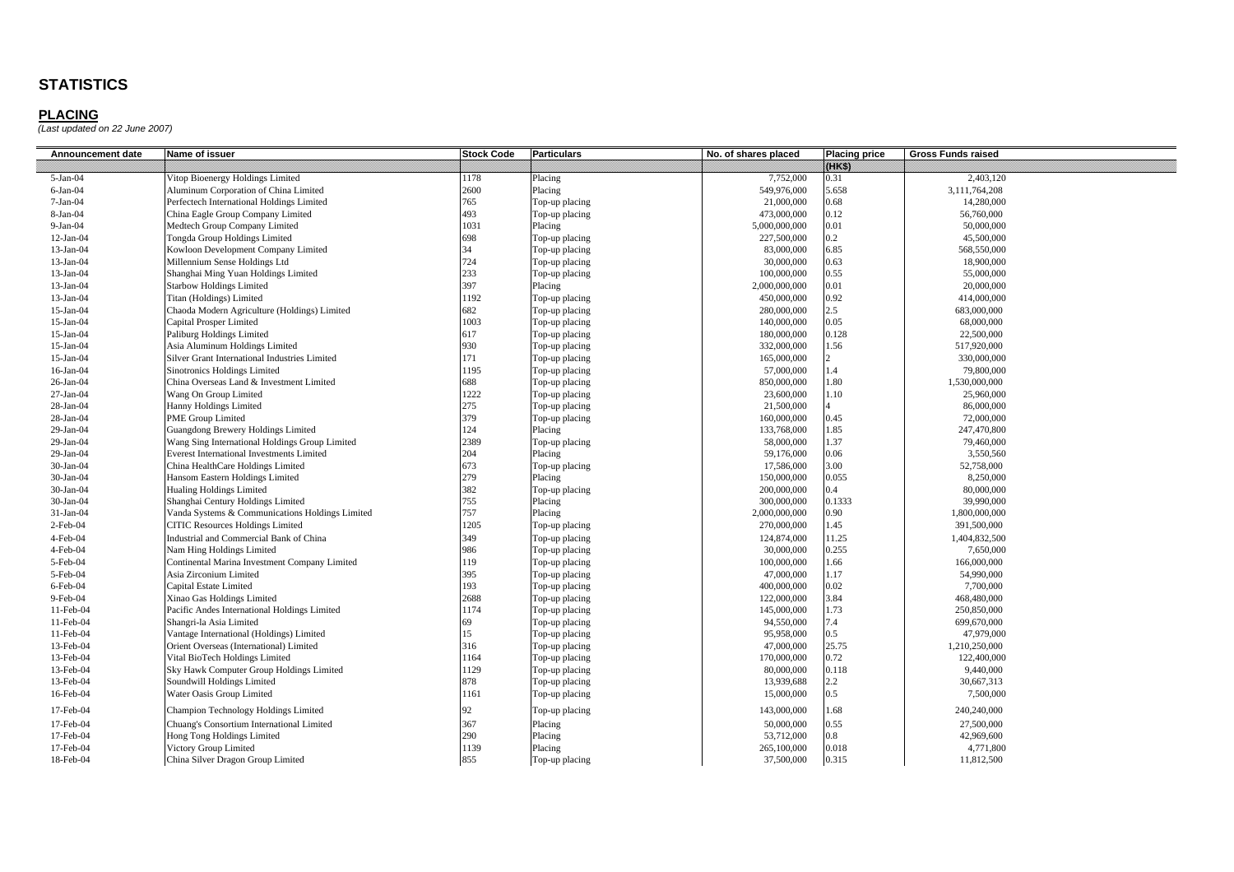| Announcement date | Name of issuer                                   | <b>Stock Code</b> | <b>Particulars</b> | No. of shares placed | <b>Placing price</b> | <b>Gross Funds raised</b> |
|-------------------|--------------------------------------------------|-------------------|--------------------|----------------------|----------------------|---------------------------|
|                   |                                                  |                   |                    |                      | 09883                |                           |
| $5-Jan-04$        | Vitop Bioenergy Holdings Limited                 | 1178              | Placing            | 7,752,000            | 0.31                 | 2,403,120                 |
| $6-Jan-04$        | Aluminum Corporation of China Limited            | 2600              | Placing            | 549,976,000          | 5.658                | 3,111,764,208             |
| $7-Jan-04$        | Perfectech International Holdings Limited        | 765               | Top-up placing     | 21,000,000           | 0.68                 | 14,280,000                |
| $8-Jan-04$        | China Eagle Group Company Limited                | 493               | Top-up placing     | 473,000,000          | 0.12                 | 56,760,000                |
| $9-Ian-04$        | Medtech Group Company Limited                    | 1031              | Placing            | 5,000,000,000        | 0.01                 | 50,000,000                |
| $12-Jan-04$       | Tongda Group Holdings Limited                    | 698               | Top-up placing     | 227,500,000          | 0.2                  | 45,500,000                |
| 13-Jan-04         | Kowloon Development Company Limited              | 34                | Top-up placing     | 83,000,000           | 6.85                 | 568,550,000               |
| 13-Jan-04         | Millennium Sense Holdings Ltd                    | 724               | Top-up placing     | 30,000,000           | 0.63                 | 18,900,000                |
| 13-Jan-04         | Shanghai Ming Yuan Holdings Limited              | 233               | Top-up placing     | 100,000,000          | 0.55                 | 55,000,000                |
| 13-Jan-04         | <b>Starbow Holdings Limited</b>                  | 397               | Placing            | 2,000,000,000        | 0.01                 | 20,000,000                |
| 13-Jan-04         | Titan (Holdings) Limited                         | 1192              | Top-up placing     | 450,000,000          | 0.92                 | 414,000,000               |
| $15$ -Jan-04      | Chaoda Modern Agriculture (Holdings) Limited     | 682               | Top-up placing     | 280,000,000          | $2.5^{\circ}$        | 683,000,000               |
| 15-Jan-04         | Capital Prosper Limited                          | 1003              | Top-up placing     | 140,000,000          | 0.05                 | 68,000,000                |
| 15-Jan-04         | Paliburg Holdings Limited                        | 617               | Top-up placing     | 180,000,000          | 0.128                | 22,500,000                |
| 15-Jan-04         | Asia Aluminum Holdings Limited                   | 930               | Top-up placing     | 332,000,000          | 1.56                 | 517,920,000               |
| 15-Jan-04         | Silver Grant International Industries Limited    | 171               | Top-up placing     | 165,000,000          |                      | 330,000,000               |
| 16-Jan-04         | Sinotronics Holdings Limited                     | 1195              | Top-up placing     | 57,000,000           | 1.4                  | 79,800,000                |
| 26-Jan-04         | China Overseas Land & Investment Limited         | 688               | Top-up placing     | 850,000,000          | 1.80                 | 1,530,000,000             |
| $27-Jan-04$       | Wang On Group Limited                            | 1222              | Top-up placing     | 23,600,000           | 1.10                 | 25,960,000                |
| 28-Jan-04         | Hanny Holdings Limited                           | 275               | Top-up placing     | 21,500,000           |                      | 86,000,000                |
| 28-Jan-04         | <b>PME Group Limited</b>                         | 379               | Top-up placing     | 160,000,000          | 0.45                 | 72,000,000                |
| 29-Jan-04         | Guangdong Brewery Holdings Limited               | 124               | Placing            | 133,768,000          | 1.85                 | 247,470,800               |
| 29-Jan-04         | Wang Sing International Holdings Group Limited   | 2389              | Top-up placing     | 58,000,000           | 1.37                 | 79,460,000                |
| 29-Jan-04         | <b>Everest International Investments Limited</b> | 204               | Placing            | 59,176,000           | 0.06                 | 3,550,560                 |
| 30-Jan-04         | China HealthCare Holdings Limited                | 673               | Top-up placing     | 17,586,000           | 3.00                 | 52,758,000                |
| 30-Jan-04         | Hansom Eastern Holdings Limited                  | 279               | Placing            | 150,000,000          | 0.055                | 8.250,000                 |
| 30-Jan-04         | <b>Hualing Holdings Limited</b>                  | 382               | Top-up placing     | 200,000,000          | $0.4^{\circ}$        | 80,000,000                |
| 30-Jan-04         | Shanghai Century Holdings Limited                | 755               | Placing            | 300,000,000          | 0.1333               | 39,990,000                |
| $31-Jan-04$       | Vanda Systems & Communications Holdings Limited  | 757               | Placing            | 2,000,000,000        | 0.90 <sub>1</sub>    | 1,800,000,000             |
| $2$ -Feb-04       | <b>CITIC Resources Holdings Limited</b>          | 1205              | Top-up placing     | 270,000,000          | 1.45                 | 391,500,000               |
| 4-Feb-04          | Industrial and Commercial Bank of China          | 349               | Top-up placing     | 124,874,000          | 11.25                | 1,404,832,500             |
| $4-Feb-04$        | Nam Hing Holdings Limited                        | 986               | Top-up placing     | 30,000,000           | 0.255                | 7,650,000                 |
| 5-Feb-04          | Continental Marina Investment Company Limited    | 119               | Top-up placing     | 100,000,000          | 1.66                 | 166,000,000               |
| 5-Feb-04          | Asia Zirconium Limited                           | 395               | Top-up placing     | 47,000,000           | 1.17                 | 54,990,000                |
| $6$ -Feb-04       | Capital Estate Limited                           | 193               | Top-up placing     | 400,000,000          | 0.02                 | 7,700,000                 |
| 9-Feb-04          | Xinao Gas Holdings Limited                       | 2688              | Top-up placing     | 122,000,000          | 3.84                 | 468,480,000               |
| 11-Feb-04         | Pacific Andes International Holdings Limited     | 1174              | Top-up placing     | 145,000,000          | 1.73                 | 250,850,000               |
| 11-Feb-04         | Shangri-la Asia Limited                          | 69                | Top-up placing     | 94,550,000           | 7.4                  | 699,670,000               |
| 11-Feb-04         | Vantage International (Holdings) Limited         | 15                | Top-up placing     | 95,958,000           | $0.5^{\circ}$        | 47,979,000                |
| 13-Feb-04         | Orient Overseas (International) Limited          | 316               | Top-up placing     | 47,000,000           | 25.75                | 1,210,250,000             |
| 13-Feb-04         | Vital BioTech Holdings Limited                   | 1164              | Top-up placing     | 170,000,000          | 0.72                 | 122,400,000               |
| 13-Feb-04         | Sky Hawk Computer Group Holdings Limited         | 1129              | Top-up placing     | 80,000,000           | 0.118                | 9,440,000                 |
| 13-Feb-04         | Soundwill Holdings Limited                       | 878               | Top-up placing     | 13,939,688           | $2.2^{\circ}$        | 30,667,313                |
| 16-Feb-04         | Water Oasis Group Limited                        | 1161              | Top-up placing     | 15,000,000           | $.5^{\circ}$         | 7,500,000                 |
| 17-Feb-04         | Champion Technology Holdings Limited             | 92                | Top-up placing     | 143,000,000          | .68                  | 240,240,000               |
| 17-Feb-04         | Chuang's Consortium International Limited        | 367               | Placing            | 50,000,000           | 0.55                 | 27,500,000                |
| 17-Feb-04         | Hong Tong Holdings Limited                       | 290               | Placing            | 53,712,000           | 0.8                  | 42,969,600                |
| 17-Feb-04         | Victory Group Limited                            | 1139              | Placing            | 265,100,000          | 0.018                | 4,771,800                 |
| 18-Feb-04         | China Silver Dragon Group Limited                | 855               | Top-up placing     | 37,500,000           | 0.315                | 11,812,500                |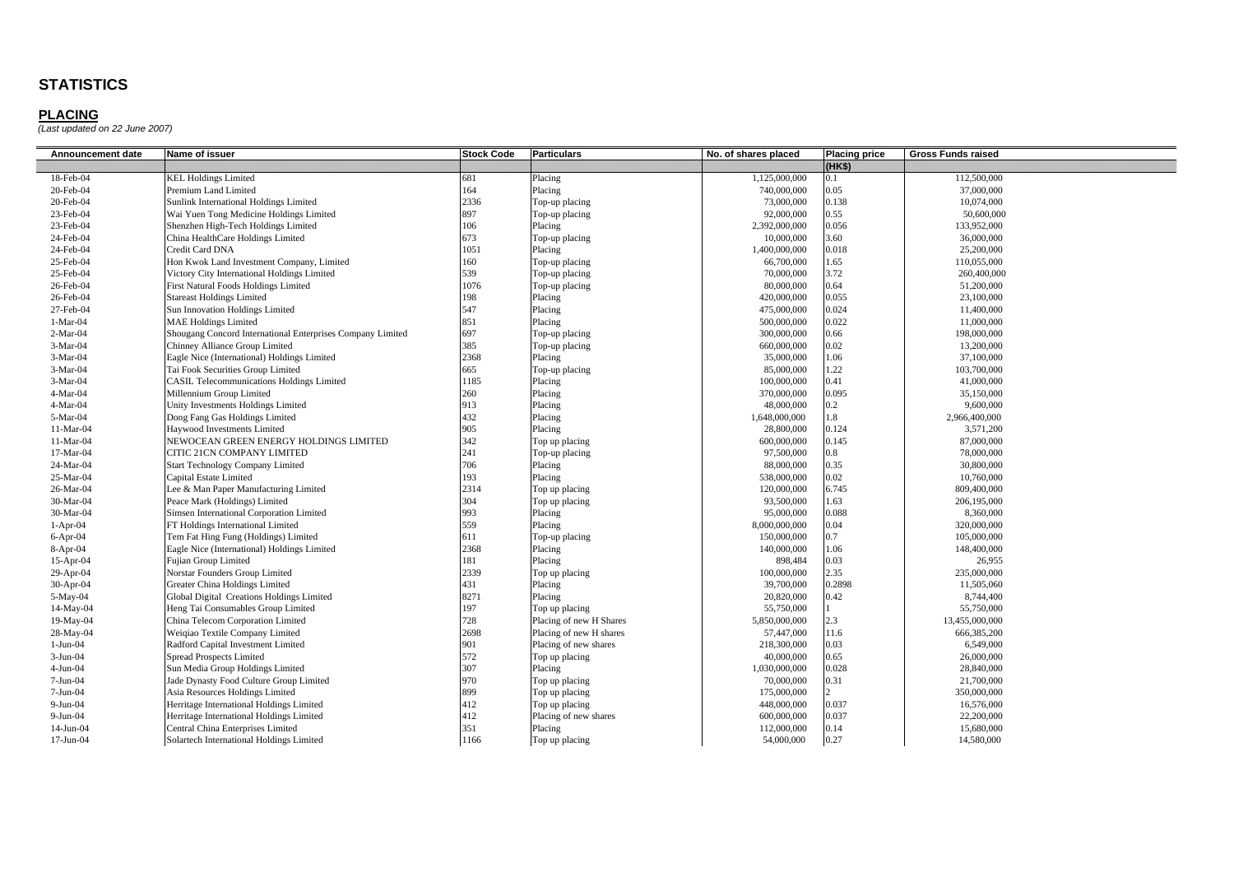| Announcement date | Name of issuer                                             | <b>Stock Code</b> | <b>Particulars</b>      | No. of shares placed | <b>Placing price</b> | <b>Gross Funds raised</b> |
|-------------------|------------------------------------------------------------|-------------------|-------------------------|----------------------|----------------------|---------------------------|
|                   |                                                            |                   |                         |                      | wes                  |                           |
| 18-Feb-04         | <b>KEL Holdings Limited</b>                                | 681               | Placing                 | 1,125,000,000        | 0.1                  | 112,500,000               |
| 20-Feb-04         | Premium Land Limited                                       | 164               | Placing                 | 740,000,000          | 0.05                 | 37,000,000                |
| 20-Feb-04         | Sunlink International Holdings Limited                     | 2336              | Top-up placing          | 73,000,000           | 0.138                | 10,074,000                |
| 23-Feb-04         | Wai Yuen Tong Medicine Holdings Limited                    | 897               | Top-up placing          | 92,000,000           | 0.55                 | 50,600,000                |
| 23-Feb-04         | Shenzhen High-Tech Holdings Limited                        | 106               | Placing                 | 2,392,000,000        | 0.056                | 133,952,000               |
| 24-Feb-04         | China HealthCare Holdings Limited                          | 673               | Top-up placing          | 10,000,000           | 3.60                 | 36,000,000                |
| 24-Feb-04         | Credit Card DNA                                            | 1051              | Placing                 | 1,400,000,000        | 0.018                | 25,200,000                |
| 25-Feb-04         | Hon Kwok Land Investment Company, Limited                  | 160               | Top-up placing          | 66,700,000           | 1.65                 | 110,055,000               |
| 25-Feb-04         | Victory City International Holdings Limited                | 539               | Top-up placing          | 70,000,000           | 3.72                 | 260,400,000               |
| 26-Feb-04         | First Natural Foods Holdings Limited                       | 1076              | Top-up placing          | 80,000,000           | 0.64                 | 51,200,000                |
| 26-Feb-04         | <b>Stareast Holdings Limited</b>                           | 198               | Placing                 | 420,000,000          | 0.055                | 23,100,000                |
| 27-Feb-04         | Sun Innovation Holdings Limited                            | 547               | Placing                 | 475,000,000          | 0.024                | 11,400,000                |
| $1-Mar-04$        | <b>MAE Holdings Limited</b>                                | 851               | Placing                 | 500,000,000          | 0.022                | 11,000,000                |
| $2-Mar-04$        | Shougang Concord International Enterprises Company Limited | 697               | Top-up placing          | 300,000,000          | 0.66                 | 198,000,000               |
| $3-Mar-04$        | Chinney Alliance Group Limited                             | 385               | Top-up placing          | 660,000,000          | 0.02                 | 13,200,000                |
| $3-Mar-04$        | Eagle Nice (International) Holdings Limited                | 2368              | Placing                 | 35,000,000           | 1.06                 | 37,100,000                |
| $3-Mar-04$        | Tai Fook Securities Group Limited                          | 665               | Top-up placing          | 85,000,000           | .22                  | 103,700,000               |
| $3-Mar-04$        | <b>CASIL Telecommunications Holdings Limited</b>           | 1185              | Placing                 | 100,000,000          | 0.41                 | 41,000,000                |
| $4-Mar-04$        | Millennium Group Limited                                   | 260               | Placing                 | 370,000,000          | 0.095                | 35,150,000                |
| $4-Mar-04$        | Unity Investments Holdings Limited                         | 913               | Placing                 | 48,000,000           | $0.2\,$              | 9,600,000                 |
| 5-Mar-04          | <b>Dong Fang Gas Holdings Limited</b>                      | 432               | Placing                 | 1,648,000,000        | 1.8                  | 2,966,400,000             |
| 11-Mar-04         | Haywood Investments Limited                                | 905               | Placing                 | 28,800,000           | 0.124                | 3,571,200                 |
| 11-Mar-04         | NEWOCEAN GREEN ENERGY HOLDINGS LIMITED                     | 342               | Top up placing          | 600,000,000          | 0.145                | 87,000,000                |
| 17-Mar-04         | CITIC 21CN COMPANY LIMITED                                 | 241               | Top-up placing          | 97,500,000           | 0.8                  | 78,000,000                |
| 24-Mar-04         | <b>Start Technology Company Limited</b>                    | 706               | Placing                 | 88,000,000           | 0.35                 | 30,800,000                |
| 25-Mar-04         | Capital Estate Limited                                     | 193               | Placing                 | 538,000,000          | 0.02                 | 10,760,000                |
| 26-Mar-04         | Lee & Man Paper Manufacturing Limited                      | 2314              | Top up placing          | 120,000,000          | 6.745                | 809,400,000               |
| 30-Mar-04         | Peace Mark (Holdings) Limited                              | 304               | Top up placing          | 93,500,000           | 1.63                 | 206,195,000               |
| 30-Mar-04         | Simsen International Corporation Limited                   | 993               | Placing                 | 95,000,000           | 0.088                | 8,360,000                 |
| $1-Apr-04$        | FT Holdings International Limited                          | 559               | Placing                 | 8,000,000,000        | 0.04                 | 320,000,000               |
| $6-Apr-04$        | Tem Fat Hing Fung (Holdings) Limited                       | 611               | Top-up placing          | 150,000,000          | 0.7                  | 105,000,000               |
| 8-Apr-04          | Eagle Nice (International) Holdings Limited                | 2368              | Placing                 | 140,000,000          | 1.06                 | 148,400,000               |
| $15-Apr-04$       | Fujian Group Limited                                       | 181               | Placing                 | 898,484              | 0.03                 | 26,955                    |
| $29$ -Apr-04      | Norstar Founders Group Limited                             | 2339              | Top up placing          | 100,000,000          | 2.35                 | 235,000,000               |
| $30-Apr-04$       | Greater China Holdings Limited                             | 431               | Placing                 | 39,700,000           | 0.2898               | 11,505,060                |
| 5-May-04          | Global Digital Creations Holdings Limited                  | 8271              | Placing                 | 20,820,000           | 0.42                 | 8,744,400                 |
| 14-May-04         | Heng Tai Consumables Group Limited                         | 197               | Top up placing          | 55,750,000           |                      | 55,750,000                |
| 19-May-04         | China Telecom Corporation Limited                          | 728               | Placing of new H Shares | 5,850,000,000        | 2.3                  | 13,455,000,000            |
| 28-May-04         | Weiqiao Textile Company Limited                            | 2698              | Placing of new H shares | 57,447,000           | 11.6                 | 666,385,200               |
| $1-Jun-04$        | Radford Capital Investment Limited                         | 901               | Placing of new shares   | 218,300,000          | 0.03                 | 6,549,000                 |
| $3-Jun-04$        | <b>Spread Prospects Limited</b>                            | 572               | Top up placing          | 40,000,000           | 0.65                 | 26,000,000                |
| $4-Jun-04$        | Sun Media Group Holdings Limited                           | 307               | Placing                 | 1,030,000,000        | 0.028                | 28,840,000                |
| 7-Jun-04          | Jade Dynasty Food Culture Group Limited                    | 970               | Top up placing          | 70,000,000           | 0.31                 | 21,700,000                |
| $7-Jun-04$        | Asia Resources Holdings Limited                            | 899               | Top up placing          | 175,000,000          |                      | 350,000,000               |
| $9-Jun-04$        | Herritage International Holdings Limited                   | 412               | Top up placing          | 448,000,000          | 0.037                | 16,576,000                |
| $9-Jun-04$        | Herritage International Holdings Limited                   | 412               | Placing of new shares   | 600,000,000          | 0.037                | 22,200,000                |
| $14-Jun-04$       | Central China Enterprises Limited                          | 351               | Placing                 | 112,000,000          | 0.14                 | 15,680,000                |
| $17-Jun-04$       | Solartech International Holdings Limited                   | 1166              | Top up placing          | 54,000,000           | 0.27                 | 14,580,000                |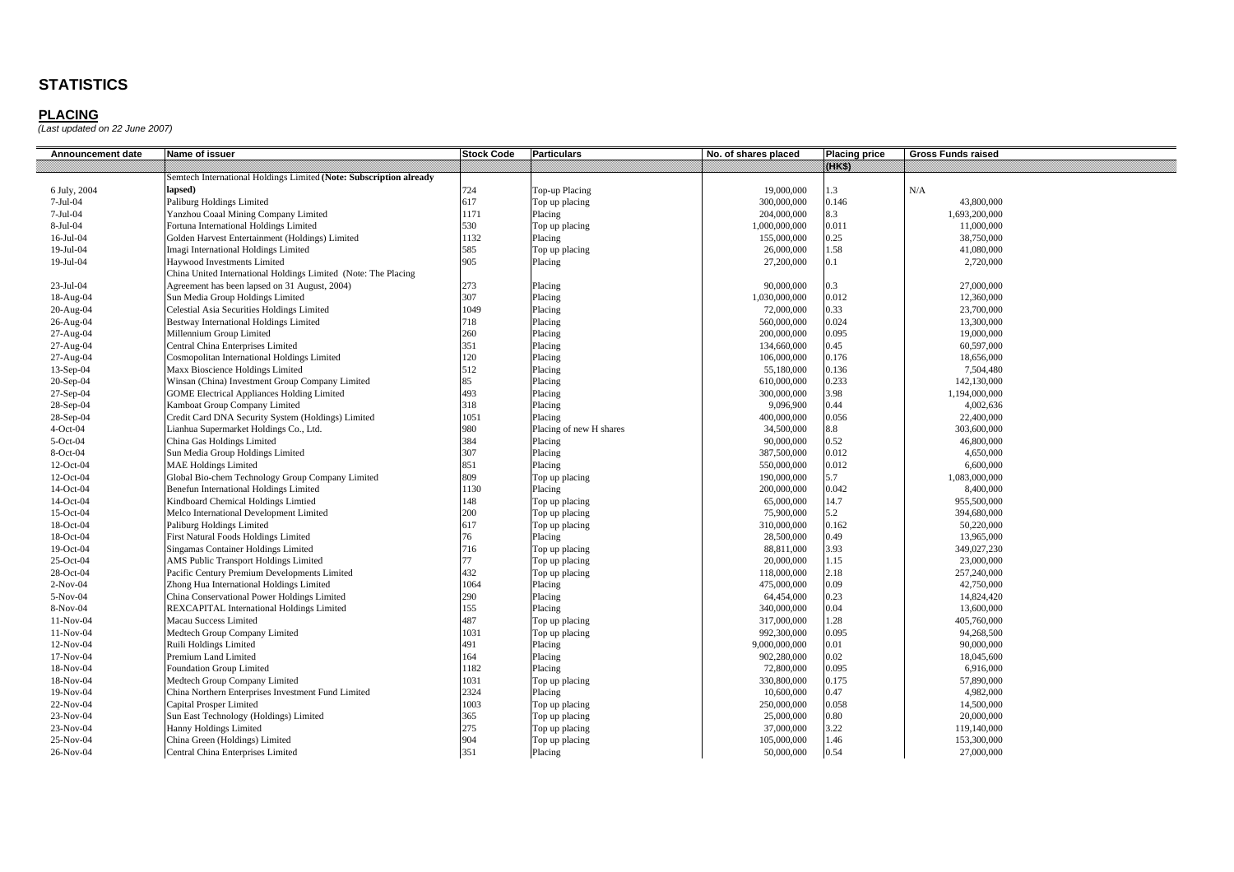| Announcement date | Name of issuer                                                     | <b>Stock Code</b> | <b>Particulars</b>      | No. of shares placed | <b>Placing price</b> | <b>Gross Funds raised</b> |
|-------------------|--------------------------------------------------------------------|-------------------|-------------------------|----------------------|----------------------|---------------------------|
|                   |                                                                    |                   |                         |                      | 88883                |                           |
|                   | Semtech International Holdings Limited (Note: Subscription already |                   |                         |                      |                      |                           |
| 6 July, 2004      | lapsed)                                                            | 724               | Top-up Placing          | 19,000,000           | 1.3                  | N/A                       |
| 7-Jul-04          | Paliburg Holdings Limited                                          | 617               | Top up placing          | 300,000,000          | 0.146                | 43,800,000                |
| $7-Jul-04$        | Yanzhou Coaal Mining Company Limited                               | 1171              | Placing                 | 204,000,000          | 8.3                  | 1,693,200,000             |
| 8-Jul-04          | Fortuna International Holdings Limited                             | 530               | Top up placing          | 1,000,000,000        | 0.011                | 11,000,000                |
| 16-Jul-04         | Golden Harvest Entertainment (Holdings) Limited                    | 1132              | Placing                 | 155,000,000          | 0.25                 | 38,750,000                |
| 19-Jul-04         | Imagi International Holdings Limited                               | 585               | Top up placing          | 26,000,000           | 1.58                 | 41,080,000                |
| 19-Jul-04         | Haywood Investments Limited                                        | 905               | Placing                 | 27,200,000           | 0.1                  | 2,720,000                 |
|                   | China United International Holdings Limited (Note: The Placing     |                   |                         |                      |                      |                           |
| 23-Jul-04         | Agreement has been lapsed on 31 August, 2004)                      | 273               | Placing                 | 90,000,000           | 0.3                  | 27,000,000                |
| 18-Aug-04         | Sun Media Group Holdings Limited                                   | 307               | Placing                 | 1,030,000,000        | 0.012                | 12,360,000                |
| 20-Aug-04         | Celestial Asia Securities Holdings Limited                         | 1049              | Placing                 | 72,000,000           | 0.33                 | 23,700,000                |
| 26-Aug-04         | Bestway International Holdings Limited                             | 718               | Placing                 | 560,000,000          | 0.024                | 13,300,000                |
| 27-Aug-04         | Millennium Group Limited                                           | 260               | Placing                 | 200,000,000          | 0.095                | 19,000,000                |
| 27-Aug-04         | Central China Enterprises Limited                                  | 351               | Placing                 | 134,660,000          | 0.45                 | 60,597,000                |
| 27-Aug-04         | Cosmopolitan International Holdings Limited                        | 120               | Placing                 | 106,000,000          | 0.176                | 18,656,000                |
| 13-Sep-04         | Maxx Bioscience Holdings Limited                                   | 512               | Placing                 | 55,180,000           | 0.136                | 7,504,480                 |
| 20-Sep-04         | Winsan (China) Investment Group Company Limited                    | 85                | Placing                 | 610,000,000          | 0.233                | 142,130,000               |
| 27-Sep-04         | <b>GOME Electrical Appliances Holding Limited</b>                  | 493               | Placing                 | 300,000,000          | 3.98                 | 1,194,000,000             |
| 28-Sep-04         | Kamboat Group Company Limited                                      | 318               | Placing                 | 9,096,900            | 0.44                 | 4.002.636                 |
| 28-Sep-04         | Credit Card DNA Security System (Holdings) Limited                 | 1051              | Placing                 | 400,000,000          | 0.056                | 22,400,000                |
| $4-Oct-04$        | .ianhua Supermarket Holdings Co., Ltd.                             | 980               | Placing of new H shares | 34,500,000           | $8.8\,$              | 303,600,000               |
| 5-Oct-04          | China Gas Holdings Limited                                         | 384               | Placing                 | 90,000,000           | 0.52                 | 46,800,000                |
| 8-Oct-04          | Sun Media Group Holdings Limited                                   | 307               | Placing                 | 387,500,000          | 0.012                | 4,650,000                 |
| 12-Oct-04         | <b>MAE Holdings Limited</b>                                        | 851               | Placing                 | 550,000,000          | 0.012                | 6,600,000                 |
| 12-Oct-04         | Global Bio-chem Technology Group Company Limited                   | 809               | Top up placing          | 190,000,000          | 5.7                  | 1,083,000,000             |
| 14-Oct-04         | <b>Benefun International Holdings Limited</b>                      | 1130              | Placing                 | 200,000,000          | 0.042                | 8,400,000                 |
| 14-Oct-04         | Kindboard Chemical Holdings Limtied                                | 148               | Top up placing          | 65,000,000           | 14.7                 | 955,500,000               |
| 15-Oct-04         | Melco International Development Limited                            | 200               | Top up placing          | 75,900,000           | 5.2                  | 394,680,000               |
| 18-Oct-04         | Paliburg Holdings Limited                                          | 617               | Top up placing          | 310,000,000          | 0.162                | 50,220,000                |
| 18-Oct-04         | First Natural Foods Holdings Limited                               | 76                | Placing                 | 28,500,000           | 0.49                 | 13,965,000                |
| 19-Oct-04         | Singamas Container Holdings Limited                                | 716               | Top up placing          | 88,811,000           | 3.93                 | 349,027,230               |
| 25-Oct-04         | AMS Public Transport Holdings Limited                              | 77                | Top up placing          | 20,000,000           | 1.15                 | 23,000,000                |
| 28-Oct-04         | Pacific Century Premium Developments Limited                       | 432               | Top up placing          | 118,000,000          | 2.18                 | 257,240,000               |
| $2-Nov-04$        | Zhong Hua International Holdings Limited                           | 1064              | Placing                 | 475,000,000          | 0.09                 | 42,750,000                |
| 5-Nov-04          | China Conservational Power Holdings Limited                        | 290               | Placing                 | 64,454,000           | 0.23                 | 14,824,420                |
| 8-Nov-04          | <b>REXCAPITAL International Holdings Limited</b>                   | 155               | Placing                 | 340,000,000          | 0.04                 | 13,600,000                |
| $11-Nov-04$       | Macau Success Limited                                              | 487               | Top up placing          | 317,000,000          | 1.28                 | 405,760,000               |
| $11-Nov-04$       | Medtech Group Company Limited                                      | 1031              | Top up placing          | 992,300,000          | 0.095                | 94,268,500                |
| 12-Nov-04         | Ruili Holdings Limited                                             | 491               | Placing                 | 9,000,000,000        | 0.01                 | 90,000,000                |
| $17-Nov-04$       | Premium Land Limited                                               | 164               | Placing                 | 902,280,000          | 0.02                 | 18,045,600                |
| 18-Nov-04         | <b>Foundation Group Limited</b>                                    | 1182              | Placing                 | 72,800,000           | 0.095                | 6,916,000                 |
| 18-Nov-04         | Medtech Group Company Limited                                      | 1031              | Top up placing          | 330,800,000          | 0.175                | 57,890,000                |
| 19-Nov-04         | China Northern Enterprises Investment Fund Limited                 | 2324              | Placing                 | 10,600,000           | 0.47                 | 4,982,000                 |
| 22-Nov-04         | Capital Prosper Limited                                            | 1003              | Top up placing          | 250,000,000          | 0.058                | 14,500,000                |
| 23-Nov-04         | Sun East Technology (Holdings) Limited                             | 365               | Top up placing          | 25,000,000           | 0.80                 | 20,000,000                |
| 23-Nov-04         | Hanny Holdings Limited                                             | 275               | Top up placing          | 37,000,000           | 3.22                 | 119,140,000               |
| 25-Nov-04         | China Green (Holdings) Limited                                     | 904               | Top up placing          | 105,000,000          | 1.46                 | 153,300,000               |
| 26-Nov-04         | Central China Enterprises Limited                                  | 351               | Placing                 | 50,000,000           | 0.54                 | 27,000,000                |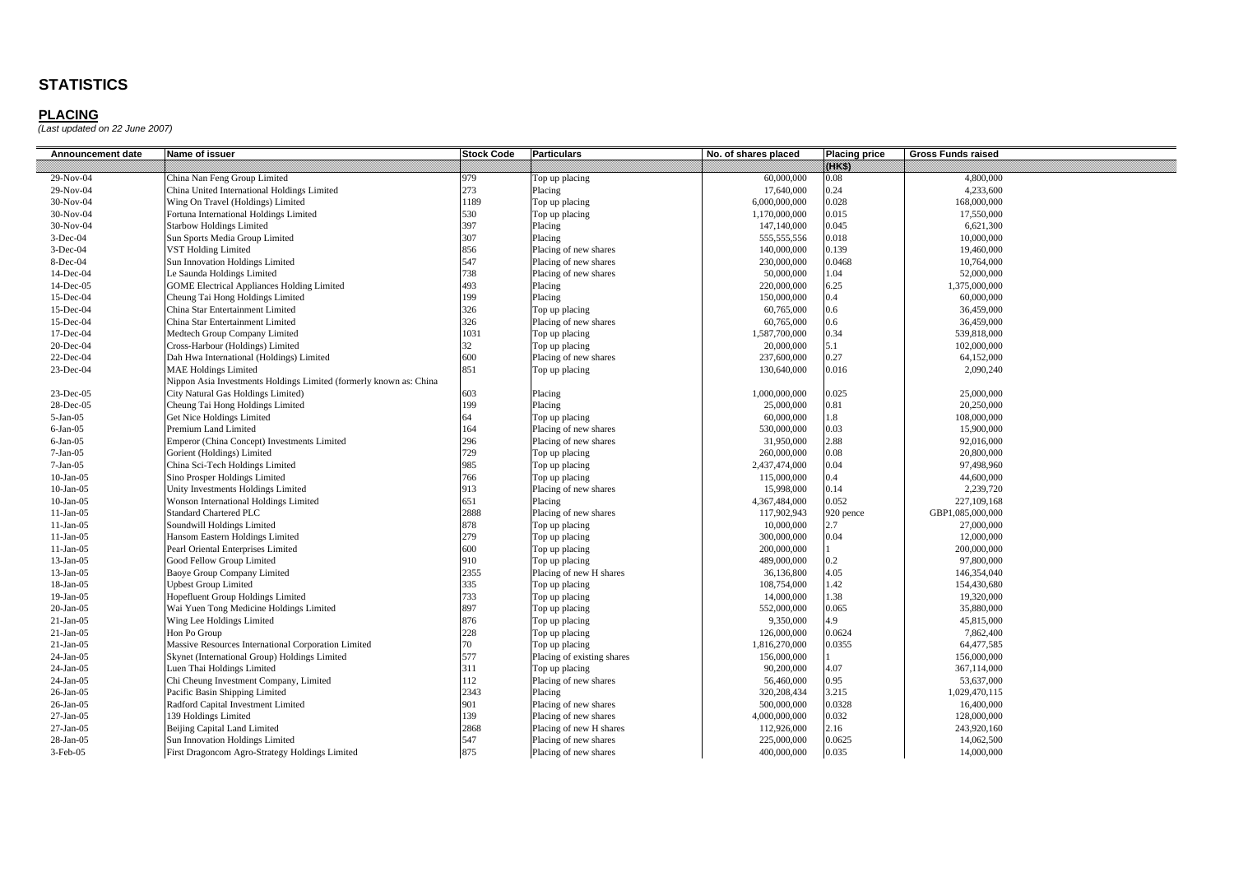| Announcement date | Name of issuer                                                     | <b>Stock Code</b> | <b>Particulars</b>         | No. of shares placed | <b>Placing price</b> | <b>Gross Funds raised</b> |
|-------------------|--------------------------------------------------------------------|-------------------|----------------------------|----------------------|----------------------|---------------------------|
|                   |                                                                    |                   |                            |                      | 1483                 |                           |
| 29-Nov-04         | China Nan Feng Group Limited                                       | 979               | Top up placing             | 60,000,000           | 0.08                 | 4,800,000                 |
| 29-Nov-04         | China United International Holdings Limited                        | 273               | Placing                    | 17,640,000           | 0.24                 | 4,233,600                 |
| 30-Nov-04         | Wing On Travel (Holdings) Limited                                  | 1189              | Top up placing             | 6,000,000,000        | 0.028                | 168,000,000               |
| 30-Nov-04         | Fortuna International Holdings Limited                             | 530               | Top up placing             | 1,170,000,000        | 0.015                | 17,550,000                |
| 30-Nov-04         | <b>Starbow Holdings Limited</b>                                    | 397               | Placing                    | 147,140,000          | 0.045                | 6,621,300                 |
| $3-Dec-04$        | Sun Sports Media Group Limited                                     | 307               | Placing                    | 555,555,556          | 0.018                | 10,000,000                |
| $3-Dec-04$        | VST Holding Limited                                                | 856               | Placing of new shares      | 140,000,000          | 0.139                | 19,460,000                |
| 8-Dec-04          | Sun Innovation Holdings Limited                                    | 547               | Placing of new shares      | 230,000,000          | 0.0468               | 10,764,000                |
| 14-Dec-04         | e Saunda Holdings Limited                                          | 738               | Placing of new shares      | 50,000,000           | 1.04                 | 52,000,000                |
| $14$ -Dec-05      | <b>GOME Electrical Appliances Holding Limited</b>                  | 493               | Placing                    | 220,000,000          | 5.25                 | 1,375,000,000             |
| 15-Dec-04         | Cheung Tai Hong Holdings Limited                                   | 199               | Placing                    | 150,000,000          | 0.4                  | 60,000,000                |
| 15-Dec-04         | China Star Entertainment Limited                                   | 326               | Top up placing             | 60,765,000           | 0.6                  | 36,459,000                |
| 15-Dec-04         | China Star Entertainment Limited                                   | 326               | Placing of new shares      | 60,765,000           | 0.6                  | 36,459,000                |
| 17-Dec-04         | Medtech Group Company Limited                                      | 1031              | Top up placing             | 1,587,700,000        | 0.34                 | 539,818,000               |
| 20-Dec-04         | Cross-Harbour (Holdings) Limited                                   | 32                | Top up placing             | 20,000,000           | 5.1                  | 102,000,000               |
| 22-Dec-04         | Dah Hwa International (Holdings) Limited                           | 600               | Placing of new shares      | 237,600,000          | 0.27                 | 64,152,000                |
| 23-Dec-04         | <b>MAE Holdings Limited</b>                                        | 851               | Top up placing             | 130,640,000          | 0.016                | 2,090,240                 |
|                   | Nippon Asia Investments Holdings Limited (formerly known as: China |                   |                            |                      |                      |                           |
| 23-Dec-05         | City Natural Gas Holdings Limited)                                 | 603               | Placing                    | 1,000,000,000        | 0.025                | 25,000,000                |
| 28-Dec-05         | Cheung Tai Hong Holdings Limited                                   | 199               | Placing                    | 25,000,000           | 0.81                 | 20,250,000                |
| $5-Jan-05$        | Get Nice Holdings Limited                                          | 64                | Top up placing             | 60,000,000           | 1.8                  | 108,000,000               |
| $6-Jan-05$        | Premium Land Limited                                               | 164               | Placing of new shares      | 530,000,000          | 0.03                 | 15,900,000                |
| $6-Jan-05$        | Emperor (China Concept) Investments Limited                        | 296               | Placing of new shares      | 31,950,000           | 2.88                 | 92,016,000                |
| $7-Jan-05$        | Gorient (Holdings) Limited                                         | 729               | Top up placing             | 260,000,000          | 0.08                 | 20,800,000                |
| $7-Jan-05$        | China Sci-Tech Holdings Limited                                    | 985               | Top up placing             | 2,437,474,000        | 0.04                 | 97,498,960                |
| $10$ -Jan- $05$   | Sino Prosper Holdings Limited                                      | 766               | Top up placing             | 115,000,000          | 0.4                  | 44,600,000                |
| $10-Jan-05$       | Unity Investments Holdings Limited                                 | 913               | Placing of new shares      | 15,998,000           | 0.14                 | 2,239,720                 |
| $10-Jan-05$       | Wonson International Holdings Limited                              | 651               | Placing                    | 4,367,484,000        | 0.052                | 227,109,168               |
| $11-Jan-05$       | Standard Chartered PLC                                             | 2888              | Placing of new shares      | 117,902,943          | 920 pence            | GBP1,085,000,000          |
| $11-Jan-05$       | Soundwill Holdings Limited                                         | 878               | Top up placing             | 10,000,000           | 2.7                  | 27,000,000                |
| $11-Jan-05$       | Hansom Eastern Holdings Limited                                    | 279               | Top up placing             | 300,000,000          | 0.04                 | 12,000,000                |
| $11-Jan-05$       | Pearl Oriental Enterprises Limited                                 | 600               | Top up placing             | 200,000,000          |                      | 200,000,000               |
| $13-Jan-05$       | Good Fellow Group Limited                                          | 910               | Top up placing             | 489,000,000          | $0.2^{\circ}$        | 97,800,000                |
| $13-Jan-05$       | Baoye Group Company Limited                                        | 2355              | Placing of new H shares    | 36,136,800           | 4.05                 | 146,354,040               |
| 18-Jan-05         | Jpbest Group Limited                                               | 335               | Top up placing             | 108,754,000          | 1.42                 | 154,430,680               |
| $19-Jan-05$       | Hopefluent Group Holdings Limited                                  | 733               | Top up placing             | 14,000,000           | .38                  | 19,320,000                |
| $20-Ian-05$       | Wai Yuen Tong Medicine Holdings Limited                            | 897               | Top up placing             | 552,000,000          | 0.065                | 35,880,000                |
| $21-Jan-05$       | Wing Lee Holdings Limited                                          | 876               | Top up placing             | 9,350,000            | 4.9                  | 45,815,000                |
| $21-Jan-05$       | Hon Po Group                                                       | 228               | Top up placing             | 126,000,000          | 0.0624               | 7,862,400                 |
| $21-Jan-05$       | Massive Resources International Corporation Limited                | 70                | Top up placing             | 1,816,270,000        | 0.0355               | 64,477,585                |
| 24-Jan-05         | Skynet (International Group) Holdings Limited                      | 577               | Placing of existing shares | 156,000,000          |                      | 156,000,000               |
| 24-Jan-05         | Luen Thai Holdings Limited                                         | 311               | Top up placing             | 90,200,000           | 4.07                 | 367,114,000               |
| 24-Jan-05         | Chi Cheung Investment Company, Limited                             | 112               | Placing of new shares      | 56,460,000           | 0.95                 | 53,637,000                |
| 26-Jan-05         | Pacific Basin Shipping Limited                                     | 2343              | Placing                    | 320,208,434          | 3.215                | 1,029,470,115             |
| 26-Jan-05         | Radford Capital Investment Limited                                 | 901               | Placing of new shares      | 500,000,000          | 0.0328               | 16,400,000                |
| 27-Jan-05         | 139 Holdings Limited                                               | 139               | Placing of new shares      | 4,000,000,000        | 0.032                | 128,000,000               |
| $27-Jan-05$       | Beijing Capital Land Limited                                       | 2868              | Placing of new H shares    | 112,926,000          | 2.16                 | 243,920,160               |
| $28$ -Jan-05      | Sun Innovation Holdings Limited                                    | 547               | Placing of new shares      | 225,000,000          | 0.0625               | 14,062,500                |
| 3-Feb-05          | First Dragoncom Agro-Strategy Holdings Limited                     | 875               | Placing of new shares      | 400,000,000          | 0.035                | 14,000,000                |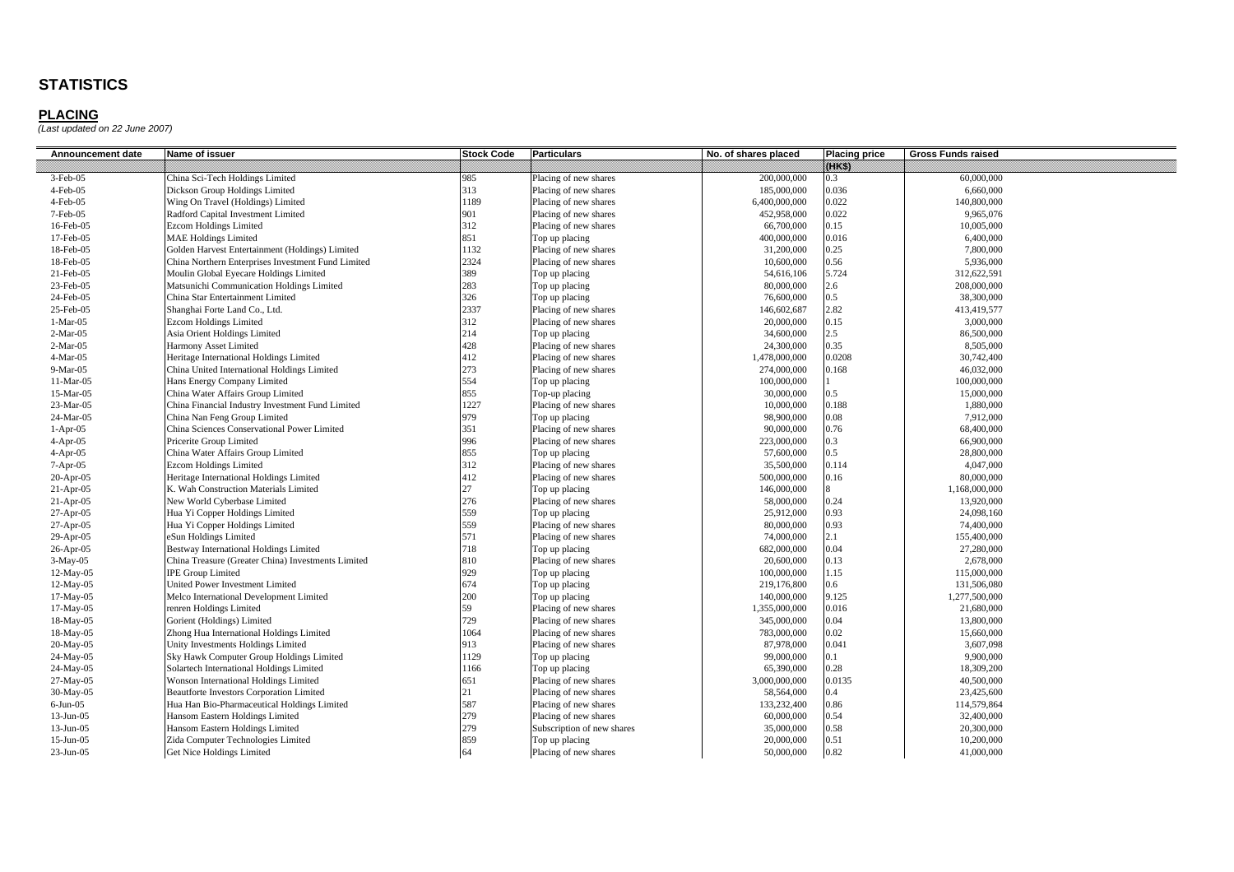| Announcement date | Name of issuer                                     | <b>Stock Code</b> | <b>Particulars</b>         | No. of shares placed | <b>Placing price</b> | <b>Gross Funds raised</b> |
|-------------------|----------------------------------------------------|-------------------|----------------------------|----------------------|----------------------|---------------------------|
|                   |                                                    |                   |                            |                      | 09833                |                           |
| 3-Feb-05          | China Sci-Tech Holdings Limited                    | 985               | Placing of new shares      | 200,000,000          | 0.3                  | 60,000,000                |
| 4-Feb-05          | Dickson Group Holdings Limited                     | 313               | Placing of new shares      | 185,000,000          | 0.036                | 6,660,000                 |
| $4$ -Feb $-05$    | Wing On Travel (Holdings) Limited                  | 1189              | Placing of new shares      | 6,400,000,000        | 0.022                | 140,800,000               |
| 7-Feb-05          | Radford Capital Investment Limited                 | 901               | Placing of new shares      | 452,958,000          | 0.022                | 9.965.076                 |
| 16-Feb-05         | <b>Ezcom Holdings Limited</b>                      | 312               | Placing of new shares      | 66,700,000           | 0.15                 | 10,005,000                |
| 17-Feb-05         | <b>MAE Holdings Limited</b>                        | 851               | Top up placing             | 400,000,000          | 0.016                | 6,400,000                 |
| 18-Feb-05         | Golden Harvest Entertainment (Holdings) Limited    | 1132              | Placing of new shares      | 31,200,000           | 0.25                 | 7,800,000                 |
| 18-Feb-05         | China Northern Enterprises Investment Fund Limited | 2324              | Placing of new shares      | 10,600,000           | 0.56                 | 5,936,000                 |
| 21-Feb-05         | Moulin Global Eyecare Holdings Limited             | 389               | Top up placing             | 54,616,106           | 5.724                | 312,622,591               |
| 23-Feb-05         | Matsunichi Communication Holdings Limited          | 283               | Top up placing             | 80,000,000           | 2.6                  | 208,000,000               |
| 24-Feb-05         | China Star Entertainment Limited                   | 326               | Top up placing             | 76,600,000           | $0.5^{\circ}$        | 38,300,000                |
| 25-Feb-05         | Shanghai Forte Land Co., Ltd.                      | 2337              | Placing of new shares      | 146,602,687          | 2.82                 | 413,419,577               |
| $1-Mar-05$        | <b>Ezcom Holdings Limited</b>                      | 312               | Placing of new shares      | 20,000,000           | 0.15                 | 3,000,000                 |
| $2-Mar-05$        | Asia Orient Holdings Limited                       | 214               | Top up placing             | 34,600,000           | $2.5\,$              | 86,500,000                |
| $2-Mar-05$        | Harmony Asset Limited                              | 428               | Placing of new shares      | 24,300,000           | 0.35                 | 8,505,000                 |
| $4-Mar-05$        | Heritage International Holdings Limited            | 412               | Placing of new shares      | 1,478,000,000        | 0.0208               | 30,742,400                |
| $9-Mar-05$        | China United International Holdings Limited        | 273               | Placing of new shares      | 274,000,000          | 0.168                | 46,032,000                |
| 11-Mar-05         | Hans Energy Company Limited                        | 554               | Top up placing             | 100,000,000          |                      | 100,000,000               |
| 15-Mar-05         | China Water Affairs Group Limited                  | 855               | Top-up placing             | 30,000,000           | 0.5                  | 15,000,000                |
| 23-Mar-05         | China Financial Industry Investment Fund Limited   | 1227              | Placing of new shares      | 10,000,000           | 0.188                | 1,880,000                 |
| 24-Mar-05         | China Nan Feng Group Limited                       | 979               | Top up placing             | 98,900,000           | 0.08                 | 7,912,000                 |
| $1-Apr-05$        | China Sciences Conservational Power Limited        | 351               | Placing of new shares      | 90,000,000           | 0.76                 | 68,400,000                |
| $4-Apr-05$        | Pricerite Group Limited                            | 996               | Placing of new shares      | 223,000,000          | 0.3                  | 66,900,000                |
| $4-Apr-05$        | China Water Affairs Group Limited                  | 855               | Top up placing             | 57,600,000           | $0.5^{\circ}$        | 28,800,000                |
| $7-Apr-05$        | <b>Ezcom Holdings Limited</b>                      | 312               | Placing of new shares      | 35,500,000           | 0.114                | 4,047,000                 |
| 20-Apr-05         | Heritage International Holdings Limited            | 412               | Placing of new shares      | 500,000,000          | 0.16                 | 80,000,000                |
| $21-Apr-05$       | K. Wah Construction Materials Limited              | 27                | Top up placing             | 146,000,000          | 8                    | 1,168,000,000             |
| $21-Apr-05$       | New World Cyberbase Limited                        | 276               | Placing of new shares      | 58,000,000           | 0.24                 | 13,920,000                |
| $27-Apr-05$       | Hua Yi Copper Holdings Limited                     | 559               | Top up placing             | 25,912,000           | 0.93                 | 24,098,160                |
| 27-Apr-05         | Hua Yi Copper Holdings Limited                     | 559               | Placing of new shares      | 80,000,000           | 0.93                 | 74,400,000                |
| 29-Apr-05         | eSun Holdings Limited                              | 571               | Placing of new shares      | 74,000,000           | 2.1                  | 155,400,000               |
| $26$ -Apr-05      | Bestway International Holdings Limited             | 718               | Top up placing             | 682,000,000          | 0.04                 | 27,280,000                |
| $3-May-05$        | China Treasure (Greater China) Investments Limited | 810               | Placing of new shares      | 20,600,000           | 0.13                 | 2,678,000                 |
| 12-May-05         | <b>IPE Group Limited</b>                           | 929               | Top up placing             | 100,000,000          | 1.15                 | 115,000,000               |
| 12-May-05         | <b>United Power Investment Limited</b>             | 674               | Top up placing             | 219,176,800          | 0.6                  | 131,506,080               |
| 17-May-05         | Melco International Development Limited            | 200               | Top up placing             | 140,000,000          | 9.125                | 1,277,500,000             |
| 17-May-05         | renren Holdings Limited                            | 59                | Placing of new shares      | 1,355,000,000        | 0.016                | 21.680,000                |
| 18-May-05         | Gorient (Holdings) Limited                         | 729               | Placing of new shares      | 345,000,000          | 0.04                 | 13,800,000                |
| 18-May-05         | Zhong Hua International Holdings Limited           | 1064              | Placing of new shares      | 783,000,000          | 0.02                 | 15,660,000                |
| 20-May-05         | Unity Investments Holdings Limited                 | 913               | Placing of new shares      | 87,978,000           | 0.041                | 3,607,098                 |
| 24-May-05         | Sky Hawk Computer Group Holdings Limited           | 1129              | Top up placing             | 99,000,000           | 0.1                  | 9,900,000                 |
| 24-May-05         | Solartech International Holdings Limited           | 1166              | Top up placing             | 65,390,000           | 0.28                 | 18,309,200                |
| 27-May-05         | Wonson International Holdings Limited              | 651               | Placing of new shares      | 3,000,000,000        | 0.0135               | 40,500,000                |
| 30-May-05         | <b>Beautforte Investors Corporation Limited</b>    | 21                | Placing of new shares      | 58,564,000           | $0.4^{\circ}$        | 23,425,600                |
| $6$ -Jun- $05$    | Hua Han Bio-Pharmaceutical Holdings Limited        | 587               | Placing of new shares      | 133,232,400          | 0.86                 | 114,579,864               |
| $13-Jun-05$       | Hansom Eastern Holdings Limited                    | 279               | Placing of new shares      | 60,000,000           | 0.54                 | 32,400,000                |
| $13$ -Jun-05      | Hansom Eastern Holdings Limited                    | 279               | Subscription of new shares | 35,000,000           | 0.58                 | 20,300,000                |
| $15$ -Jun-05      | Zida Computer Technologies Limited                 | 859               | Top up placing             | 20,000,000           | 0.51                 | 10,200,000                |
| 23-Jun-05         | Get Nice Holdings Limited                          | 64                | Placing of new shares      | 50,000,000           | 0.82                 | 41,000,000                |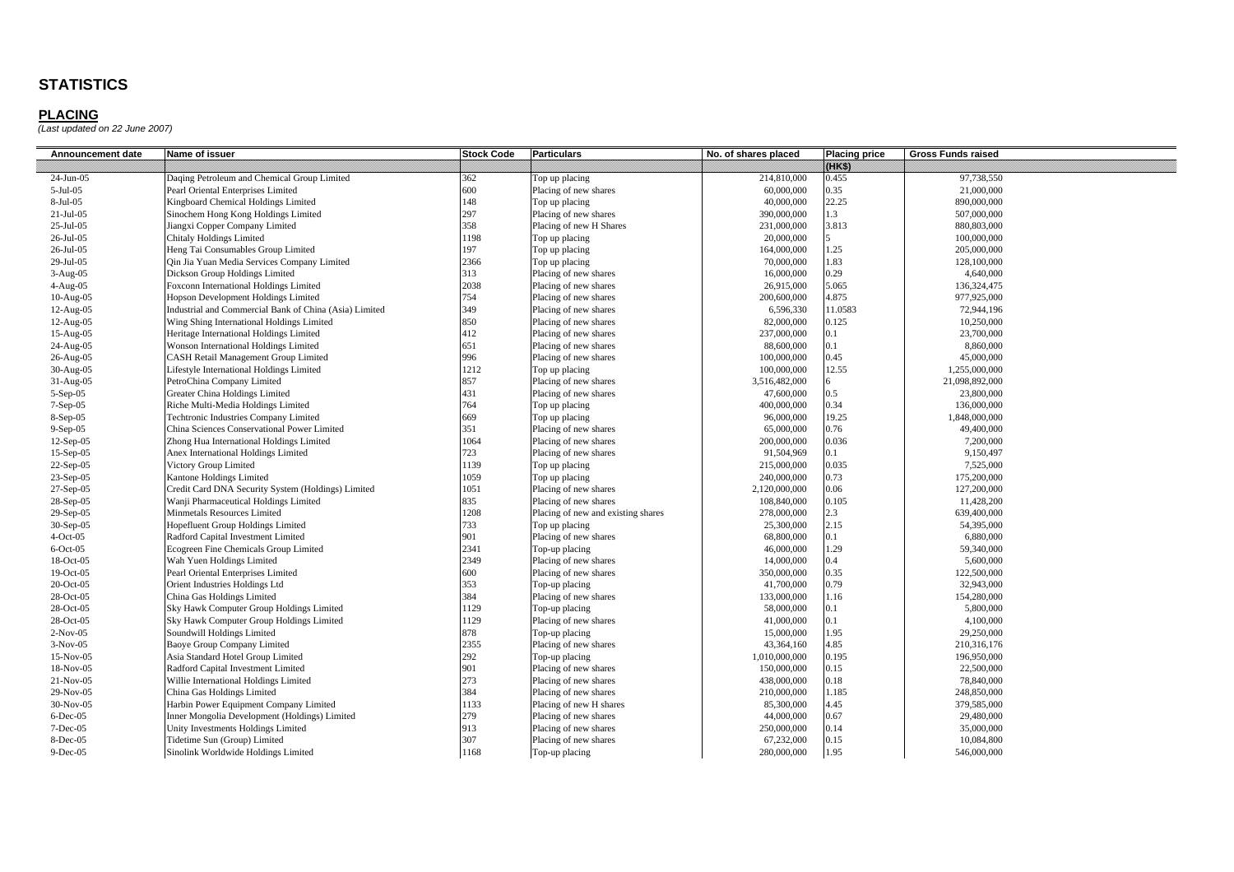| Announcement date | Name of issuer                                         | <b>Stock Code</b> | <b>Particulars</b>                 | No. of shares placed | <b>Placing price</b> | <b>Gross Funds raised</b> |
|-------------------|--------------------------------------------------------|-------------------|------------------------------------|----------------------|----------------------|---------------------------|
|                   |                                                        |                   |                                    |                      | 8888                 |                           |
| 24-Jun-05         | Daqing Petroleum and Chemical Group Limited            | 362               | Top up placing                     | 214,810,000          | 0.455                | 97,738,550                |
| 5-Jul-05          | Pearl Oriental Enterprises Limited                     | 600               | Placing of new shares              | 60,000,000           | 0.35                 | 21,000,000                |
| 8-Jul-05          | Kingboard Chemical Holdings Limited                    | 148               | Top up placing                     | 40,000,000           | 22.25                | 890,000,000               |
| $21-Jul-05$       | Sinochem Hong Kong Holdings Limited                    | 297               | Placing of new shares              | 390,000,000          | 1.3                  | 507,000,000               |
| 25-Jul-05         | Jiangxi Copper Company Limited                         | 358               | Placing of new H Shares            | 231,000,000          | 3.813                | 880,803,000               |
| 26-Jul-05         | <b>Chitaly Holdings Limited</b>                        | 1198              | Top up placing                     | 20,000,000           |                      | 100,000,000               |
| 26-Jul-05         | Heng Tai Consumables Group Limited                     | 197               | Top up placing                     | 164,000,000          | 1.25                 | 205,000,000               |
| 29-Jul-05         | Qin Jia Yuan Media Services Company Limited            | 2366              | Top up placing                     | 70,000,000           | 1.83                 | 128,100,000               |
| $3-Aug-05$        | Dickson Group Holdings Limited                         | 313               | Placing of new shares              | 16,000,000           | 0.29                 | 4,640,000                 |
| $4-Aug-05$        | Foxconn International Holdings Limited                 | 2038              | Placing of new shares              | 26,915,000           | 5.065                | 136,324,475               |
| $10-Aug-05$       | <b>Hopson Development Holdings Limited</b>             | 754               | Placing of new shares              | 200,600,000          | 4.875                | 977,925,000               |
| 12-Aug-05         | Industrial and Commercial Bank of China (Asia) Limited | 349               | Placing of new shares              | 6,596,330            | 11.0583              | 72,944,196                |
| 12-Aug-05         | Wing Shing International Holdings Limited              | 850               | Placing of new shares              | 82,000,000           | 0.125                | 10,250,000                |
| 15-Aug-05         | Heritage International Holdings Limited                | 412               | Placing of new shares              | 237,000,000          | $_{0.1}$             | 23,700,000                |
| 24-Aug-05         | <b>Wonson International Holdings Limited</b>           | 651               | Placing of new shares              | 88,600,000           | 0.1                  | 8,860,000                 |
| 26-Aug-05         | <b>CASH Retail Management Group Limited</b>            | 996               | Placing of new shares              | 100,000,000          | 0.45                 | 45,000,000                |
| 30-Aug-05         | Lifestyle International Holdings Limited               | 1212              | Top up placing                     | 100,000,000          | 12.55                | 1,255,000,000             |
| $31-Aug-05$       | PetroChina Company Limited                             | 857               | Placing of new shares              | 3,516,482,000        |                      | 21,098,892,000            |
| $5-Sep-05$        | Greater China Holdings Limited                         | 431               | Placing of new shares              | 47,600,000           | 0.5                  | 23,800,000                |
| $7-Sep-05$        | Riche Multi-Media Holdings Limited                     | 764               | Top up placing                     | 400,000,000          | 0.34                 | 136,000,000               |
| 8-Sep-05          | <b>Techtronic Industries Company Limited</b>           | 669               | Top up placing                     | 96,000,000           | 19.25                | 1,848,000,000             |
| $9-Sep-05$        | China Sciences Conservational Power Limited            | 351               | Placing of new shares              | 65,000,000           | 0.76                 | 49,400,000                |
| $12-Sep-05$       | Zhong Hua International Holdings Limited               | 1064              | Placing of new shares              | 200,000,000          | 0.036                | 7,200,000                 |
| 15-Sep-05         | Anex International Holdings Limited                    | 723               | Placing of new shares              | 91,504,969           | 0.1                  | 9,150,497                 |
| 22-Sep-05         | Victory Group Limited                                  | 1139              | Top up placing                     | 215,000,000          | 0.035                | 7,525,000                 |
| 23-Sep-05         | Kantone Holdings Limited                               | 1059              | Top up placing                     | 240,000,000          | 0.73                 | 175,200,000               |
| 27-Sep-05         | Credit Card DNA Security System (Holdings) Limited     | 1051              | Placing of new shares              | 2,120,000,000        | 0.06                 | 127,200,000               |
| 28-Sep-05         | Wanji Pharmaceutical Holdings Limited                  | 835               | Placing of new shares              | 108,840,000          | 0.105                | 11,428,200                |
| 29-Sep-05         | Minmetals Resources Limited                            | 1208              | Placing of new and existing shares | 278,000,000          | 2.3                  | 639,400,000               |
| 30-Sep-05         | Hopefluent Group Holdings Limited                      | 733               | Top up placing                     | 25,300,000           | 2.15                 | 54,395,000                |
| $4-Oct-05$        | Radford Capital Investment Limited                     | 901               | Placing of new shares              | 68,800,000           | 0.1                  | 6,880,000                 |
| $6$ -Oct-05       | Ecogreen Fine Chemicals Group Limited                  | 2341              | Top-up placing                     | 46,000,000           | 1.29                 | 59,340,000                |
| 18-Oct-05         | Wah Yuen Holdings Limited                              | 2349              | Placing of new shares              | 14,000,000           | 0.4                  | 5,600,000                 |
| 19-Oct-05         | Pearl Oriental Enterprises Limited                     | 600               | Placing of new shares              | 350,000,000          | 0.35                 | 122,500,000               |
| 20-Oct-05         | Orient Industries Holdings Ltd                         | 353               | Top-up placing                     | 41,700,000           | 0.79                 | 32,943,000                |
| 28-Oct-05         | China Gas Holdings Limited                             | 384               | Placing of new shares              | 133,000,000          | 1.16                 | 154,280,000               |
| 28-Oct-05         | Sky Hawk Computer Group Holdings Limited               | 1129              | Top-up placing                     | 58,000,000           | 0.1                  | 5,800,000                 |
| 28-Oct-05         | Sky Hawk Computer Group Holdings Limited               | 1129              | Placing of new shares              | 41,000,000           | 0.1                  | 4,100,000                 |
| $2-Nov-05$        | Soundwill Holdings Limited                             | 878               | Top-up placing                     | 15,000,000           | 1.95                 | 29,250,000                |
| $3-Nov-05$        | <b>Baoye Group Company Limited</b>                     | 2355              | Placing of new shares              | 43,364,160           | 4.85                 | 210,316,176               |
| 15-Nov-05         | Asia Standard Hotel Group Limited                      | 292               | Top-up placing                     | 1,010,000,000        | 0.195                | 196,950,000               |
| 18-Nov-05         | Radford Capital Investment Limited                     | 901               | Placing of new shares              | 150,000,000          | 0.15                 | 22,500,000                |
| $21-Nov-05$       | Willie International Holdings Limited                  | 273               | Placing of new shares              | 438,000,000          | 0.18                 | 78,840,000                |
| 29-Nov-05         | China Gas Holdings Limited                             | 384               | Placing of new shares              | 210,000,000          | 1.185                | 248,850,000               |
| 30-Nov-05         | Harbin Power Equipment Company Limited                 | 1133              | Placing of new H shares            | 85,300,000           | 4.45                 | 379,585,000               |
| $6$ -Dec-05       | nner Mongolia Development (Holdings) Limited           | 279               | Placing of new shares              | 44,000,000           | 0.67                 | 29,480,000                |
| 7-Dec-05          | Unity Investments Holdings Limited                     | 913               | Placing of new shares              | 250,000,000          | 0.14                 | 35,000,000                |
| 8-Dec-05          | Tidetime Sun (Group) Limited                           | 307               | Placing of new shares              | 67,232,000           | 0.15                 | 10,084,800                |
| 9-Dec-05          | Sinolink Worldwide Holdings Limited                    | 1168              | Top-up placing                     | 280,000,000          | 1.95                 | 546,000,000               |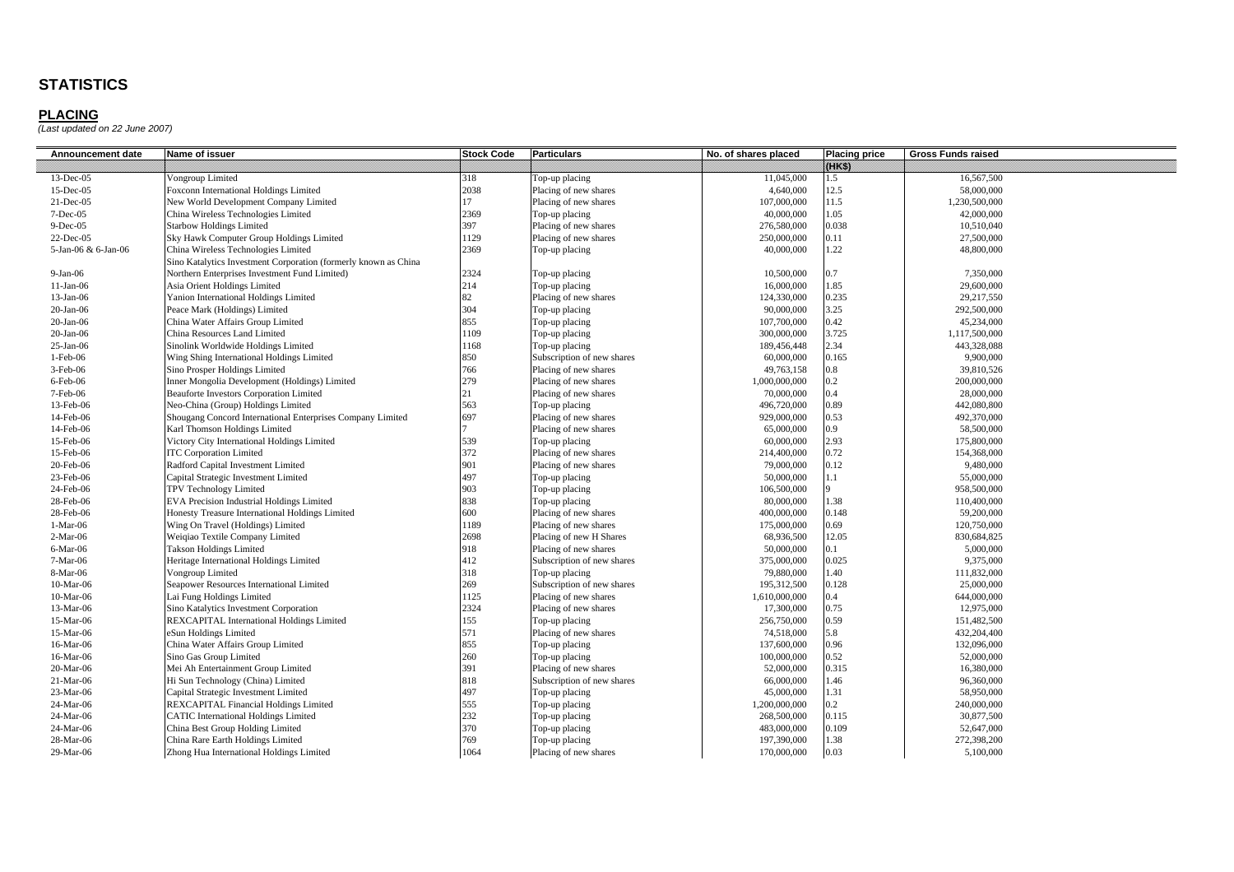| Announcement date   | Name of issuer                                                  | <b>Stock Code</b> | <b>Particulars</b>         | No. of shares placed | <b>Placing price</b> | <b>Gross Funds raised</b> |
|---------------------|-----------------------------------------------------------------|-------------------|----------------------------|----------------------|----------------------|---------------------------|
|                     |                                                                 |                   |                            |                      | 88883                |                           |
| $13$ -Dec-05        | Vongroup Limited                                                | 318               | Top-up placing             | 11,045,000           | 1.5                  | 16,567,500                |
| 15-Dec-05           | Foxconn International Holdings Limited                          | 2038              | Placing of new shares      | 4,640,000            | 12.5                 | 58,000,000                |
| $21 - Dec-05$       | New World Development Company Limited                           | 17                | Placing of new shares      | 107,000,000          | 11.5                 | 1,230,500,000             |
| 7-Dec-05            | China Wireless Technologies Limited                             | 2369              | Top-up placing             | 40,000,000           | 1.05                 | 42,000,000                |
| $9-Dec-05$          | <b>Starbow Holdings Limited</b>                                 | 397               | Placing of new shares      | 276,580,000          | 0.038                | 10,510,040                |
| 22-Dec-05           | Sky Hawk Computer Group Holdings Limited                        | 1129              | Placing of new shares      | 250,000,000          | 0.11                 | 27,500,000                |
| 5-Jan-06 & 6-Jan-06 | China Wireless Technologies Limited                             | 2369              | Top-up placing             | 40,000,000           | 1.22                 | 48,800,000                |
|                     | Sino Katalytics Investment Corporation (formerly known as China |                   |                            |                      |                      |                           |
| $9-Jan-06$          | Northern Enterprises Investment Fund Limited)                   | 2324              | Top-up placing             | 10,500,000           | 0.7                  | 7,350,000                 |
| $11-Jan-06$         | Asia Orient Holdings Limited                                    | 214               | Top-up placing             | 16,000,000           | 1.85                 | 29,600,000                |
| $13-Jan-06$         | Yanion International Holdings Limited                           | 82                | Placing of new shares      | 124,330,000          | 0.235                | 29.217.550                |
| $20$ -Jan- $06$     | Peace Mark (Holdings) Limited                                   | 304               | Top-up placing             | 90,000,000           | 3.25                 | 292,500,000               |
| $20$ -Jan- $06$     | China Water Affairs Group Limited                               | 855               | Top-up placing             | 107,700,000          | 0.42                 | 45,234,000                |
| $20$ -Jan- $06$     | China Resources Land Limited                                    | 1109              | Top-up placing             | 300,000,000          | 3.725                | 1,117,500,000             |
| $25$ -Jan-06        | Sinolink Worldwide Holdings Limited                             | 1168              | Top-up placing             | 189,456,448          | 2.34                 | 443,328,088               |
| 1-Feb-06            | Wing Shing International Holdings Limited                       | 850               | Subscription of new shares | 60,000,000           | 0.165                | 9,900,000                 |
| 3-Feb-06            | Sino Prosper Holdings Limited                                   | 766               | Placing of new shares      | 49,763,158           | 0.8                  | 39,810,526                |
| $6$ -Feb-06         | Inner Mongolia Development (Holdings) Limited                   | 279               | Placing of new shares      | 1,000,000,000        | 0.2                  | 200,000,000               |
| 7-Feb-06            | <b>Beauforte Investors Corporation Limited</b>                  | 21                | Placing of new shares      | 70,000,000           | 0.4                  | 28,000,000                |
| 13-Feb-06           | Neo-China (Group) Holdings Limited                              | 563               | Top-up placing             | 496,720,000          | 0.89                 | 442,080,800               |
| 14-Feb-06           | Shougang Concord International Enterprises Company Limited      | 697               | Placing of new shares      | 929,000,000          | 0.53                 | 492,370,000               |
| 14-Feb-06           | Karl Thomson Holdings Limited                                   |                   | Placing of new shares      | 65,000,000           | 0.9                  | 58,500,000                |
| 15-Feb-06           | Victory City International Holdings Limited                     | 539               | Top-up placing             | 60,000,000           | 2.93                 | 175,800,000               |
| 15-Feb-06           | <b>ITC Corporation Limited</b>                                  | 372               | Placing of new shares      | 214,400,000          | 0.72                 | 154,368,000               |
| 20-Feb-06           | Radford Capital Investment Limited                              | 901               | Placing of new shares      | 79,000,000           | 0.12                 | 9,480,000                 |
| 23-Feb-06           | Capital Strategic Investment Limited                            | 497               | Top-up placing             | 50,000,000           | 1.1                  | 55,000,000                |
| 24-Feb-06           | TPV Technology Limited                                          | 903               | Top-up placing             | 106,500,000          |                      | 958,500,000               |
| 28-Feb-06           | EVA Precision Industrial Holdings Limited                       | 838               | Top-up placing             | 80,000,000           | 1.38                 | 110,400,000               |
| 28-Feb-06           | Honesty Treasure International Holdings Limited                 | 600               | Placing of new shares      | 400,000,000          | 0.148                | 59,200,000                |
| 1-Mar-06            | Wing On Travel (Holdings) Limited                               | 1189              | Placing of new shares      | 175,000,000          | 0.69                 | 120,750,000               |
| $2-Mar-06$          | Weiqiao Textile Company Limited                                 | 2698              | Placing of new H Shares    | 68,936,500           | 12.05                | 830,684,825               |
| 6-Mar-06            | <b>Takson Holdings Limited</b>                                  | 918               | Placing of new shares      | 50,000,000           | 0.1                  | 5,000,000                 |
| 7-Mar-06            | Heritage International Holdings Limited                         | 412               | Subscription of new shares | 375,000,000          | 0.025                | 9,375,000                 |
| 8-Mar-06            | Vongroup Limited                                                | 318               | Top-up placing             | 79,880,000           | 1.40                 | 111,832,000               |
| 10-Mar-06           | Seapower Resources International Limited                        | 269               | Subscription of new shares | 195,312,500          | 0.128                | 25,000,000                |
| 10-Mar-06           | Lai Fung Holdings Limited                                       | 1125              | Placing of new shares      | 1,610,000,000        | 0.4                  | 644,000,000               |
| 13-Mar-06           | Sino Katalytics Investment Corporation                          | 2324              | Placing of new shares      | 17,300,000           | 0.75                 | 12,975,000                |
| 15-Mar-06           | REXCAPITAL International Holdings Limited                       | 155               | Top-up placing             | 256,750,000          | 0.59                 | 151,482,500               |
| 15-Mar-06           | eSun Holdings Limited                                           | 571               | Placing of new shares      | 74,518,000           | 5.8                  | 432,204,400               |
| 16-Mar-06           | China Water Affairs Group Limited                               | 855               | Top-up placing             | 137,600,000          | 0.96                 | 132,096,000               |
| 16-Mar-06           | Sino Gas Group Limited                                          | 260               | Top-up placing             | 100,000,000          | 0.52                 | 52,000,000                |
| 20-Mar-06           | Mei Ah Entertainment Group Limited                              | 391               | Placing of new shares      | 52,000,000           | 0.315                | 16,380,000                |
| 21-Mar-06           | Hi Sun Technology (China) Limited                               | 818               | Subscription of new shares | 66,000,000           | 1.46                 | 96,360,000                |
| 23-Mar-06           | Capital Strategic Investment Limited                            | 497               | Top-up placing             | 45,000,000           | 1.31                 | 58,950,000                |
| 24-Mar-06           | REXCAPITAL Financial Holdings Limited                           | 555               | Top-up placing             | 1,200,000,000        | 0.2                  | 240,000,000               |
| 24-Mar-06           | <b>CATIC</b> International Holdings Limited                     | 232               | Top-up placing             | 268,500,000          | 0.115                | 30,877,500                |
| 24-Mar-06           | China Best Group Holding Limited                                | 370               | Top-up placing             | 483,000,000          | 0.109                | 52,647,000                |
| 28-Mar-06           | China Rare Earth Holdings Limited                               | 769               | Top-up placing             | 197,390,000          | 1.38                 | 272,398,200               |
| 29-Mar-06           | Zhong Hua International Holdings Limited                        | 1064              | Placing of new shares      | 170,000,000          | 0.03                 | 5,100,000                 |
|                     |                                                                 |                   |                            |                      |                      |                           |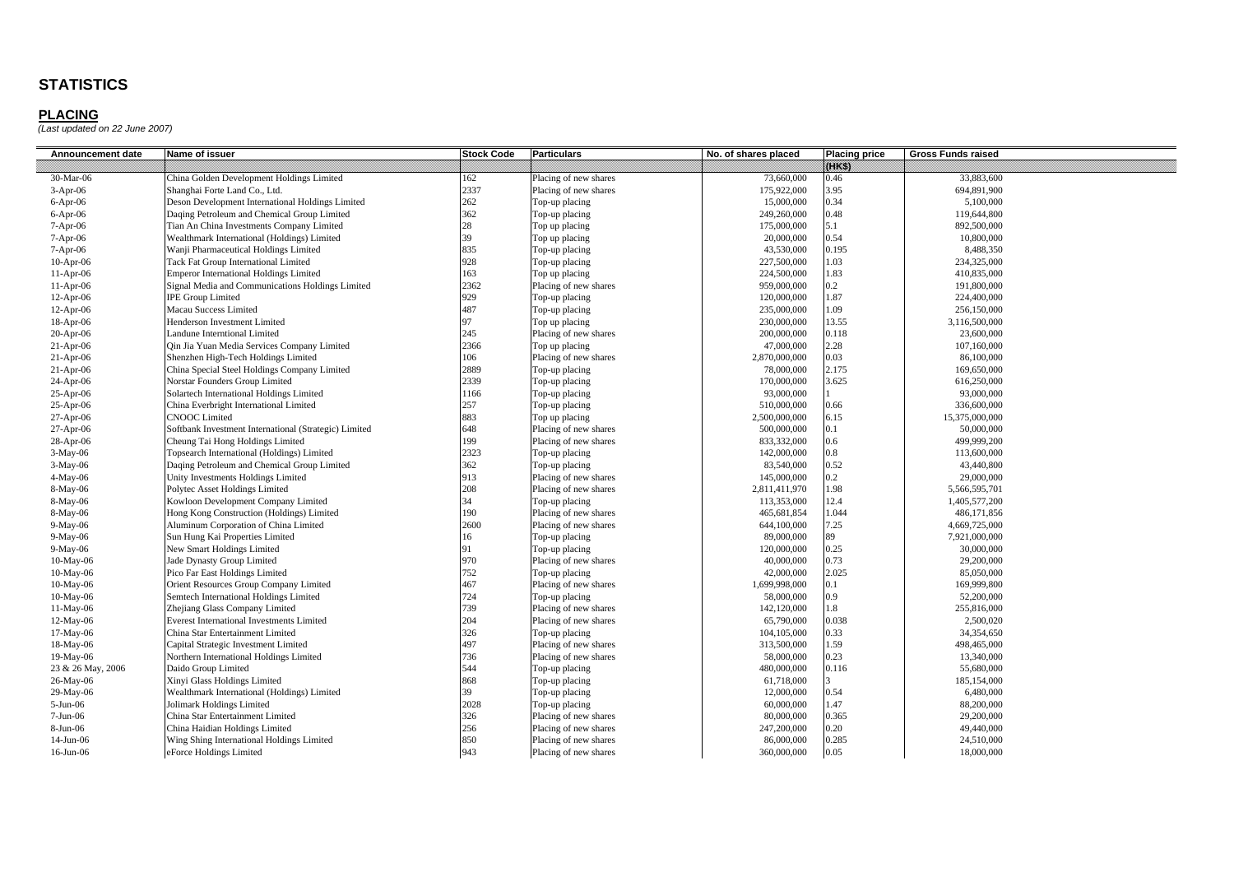| 09.XS)<br>30-Mar-06<br>China Golden Development Holdings Limited<br>162<br>Placing of new shares<br>73,660,000<br>0.46<br>33,883,600<br>2337<br>3.95<br>Shanghai Forte Land Co., Ltd.<br>175,922,000<br>694,891,900<br>$3-Apr-06$<br>Placing of new shares<br>262<br>0.34<br>Deson Development International Holdings Limited<br>15,000,000<br>5,100,000<br>$6-Apr-06$<br>Top-up placing<br>362<br>Daqing Petroleum and Chemical Group Limited<br>249,260,000<br>0.48<br>Top-up placing<br>119,644,800<br>$6-Apr-06$<br>28<br>5.1<br>$7-Apr-06$<br>Tian An China Investments Company Limited<br>Top up placing<br>175,000,000<br>892,500,000<br>39<br>0.54<br>Wealthmark International (Holdings) Limited<br>Top up placing<br>20,000,000<br>10,800,000<br>$7-Apr-06$<br>835<br>43,530,000<br>0.195<br>8,488,350<br>7-Apr-06<br>Wanji Pharmaceutical Holdings Limited<br>Top-up placing<br>928<br>1.03<br>Tack Fat Group International Limited<br>Top-up placing<br>227,500,000<br>234,325,000<br>$10-Apr-06$<br>163<br>1.83<br><b>Emperor International Holdings Limited</b><br>Top up placing<br>224,500,000<br>410,835,000<br>$11-Apr-06$<br>2362<br>0.2<br>959,000,000<br>191,800,000<br>$11-Apr-06$<br>Signal Media and Communications Holdings Limited<br>Placing of new shares<br>929<br>1.87<br><b>IPE Group Limited</b><br>120,000,000<br>224,400,000<br>$12-Apr-06$<br>Top-up placing<br>487<br>1.09<br>Macau Success Limited<br>Top-up placing<br>235,000,000<br>256,150,000<br>$12-Apr-06$<br>97<br>13.55<br>$18-Apr-06$<br>Henderson Investment Limited<br>Top up placing<br>230,000,000<br>3,116,500,000<br>245<br>Placing of new shares<br>200,000,000<br>0.118<br>23,600,000<br>$20-Apr-06$<br>Landune Interntional Limited<br>2366<br>2.28<br>Qin Jia Yuan Media Services Company Limited<br>Top up placing<br>47,000,000<br>107,160,000<br>$21-Apr-06$<br>106<br>0.03<br>$21-Apr-06$<br>Shenzhen High-Tech Holdings Limited<br>Placing of new shares<br>2,870,000,000<br>86,100,000<br>2889<br>2.175<br>China Special Steel Holdings Company Limited<br>78,000,000<br>169,650,000<br>$21-Apr-06$<br>Top-up placing<br>2339<br>3.625<br>Norstar Founders Group Limited<br>Top-up placing<br>170,000,000<br>616,250,000<br>$24-Apr-06$<br>1166<br>93,000,000<br>$25-Apr-06$<br>Solartech International Holdings Limited<br>Top-up placing<br>93,000,000<br>257<br>0.66<br>China Everbright International Limited<br>Top-up placing<br>336,600,000<br>$25-Apr-06$<br>510,000,000<br>883<br><b>CNOOC</b> Limited<br>6.15<br>$27-Apr-06$<br>Top up placing<br>2,500,000,000<br>15,375,000,000<br>648<br>Placing of new shares<br>500,000,000<br>0.1<br>50,000,000<br>27-Apr-06<br>Softbank Investment International (Strategic) Limited<br>199<br>0.6<br>Cheung Tai Hong Holdings Limited<br>Placing of new shares<br>833,332,000<br>499,999,200<br>28-Apr-06<br>2323<br>0.8<br>3-May-06<br>Topsearch International (Holdings) Limited<br>Top-up placing<br>142,000,000<br>113,600,000<br>362<br>0.52<br>Daqing Petroleum and Chemical Group Limited<br>83,540,000<br>43,440,800<br>3-May-06<br>Top-up placing<br>913<br>0.2<br>Unity Investments Holdings Limited<br>145,000,000<br>29,000,000<br>4-May-06<br>Placing of new shares<br>208<br>1.98<br>8-May-06<br>Polytec Asset Holdings Limited<br>Placing of new shares<br>5,566,595,701<br>2,811,411,970<br>34<br>12.4<br>8-May-06<br>Kowloon Development Company Limited<br>Top-up placing<br>113,353,000<br>1,405,577,200<br>190<br>1.044<br>Hong Kong Construction (Holdings) Limited<br>Placing of new shares<br>465,681,854<br>486,171,856<br>8-May-06<br>2600<br>7.25<br>9-May-06<br>Aluminum Corporation of China Limited<br>Placing of new shares<br>644,100,000<br>4,669,725,000<br>89<br>16<br>9-May-06<br>Sun Hung Kai Properties Limited<br>Top-up placing<br>89,000,000<br>7,921,000,000<br>0.25<br>New Smart Holdings Limited<br>120,000,000<br>30,000,000<br>9-May-06<br>91<br>Top-up placing<br>970<br>0.73<br>10-May-06<br>Jade Dynasty Group Limited<br>Placing of new shares<br>40,000,000<br>29,200,000<br>752<br>2.025<br>Pico Far East Holdings Limited<br>42,000,000<br>85,050,000<br>10-May-06<br>Top-up placing<br>467<br>Orient Resources Group Company Limited<br>Placing of new shares<br>1,699,998,000<br>0.1<br>169,999,800<br>10-May-06<br>Semtech International Holdings Limited<br>724<br>58,000,000<br>0.9<br>52,200,000<br>10-May-06<br>Top-up placing<br>739<br>1.8<br>Zhejiang Glass Company Limited<br>Placing of new shares<br>142,120,000<br>255,816,000<br>11-May-06<br>204<br>0.038<br>12-May-06<br><b>Everest International Investments Limited</b><br>Placing of new shares<br>65,790,000<br>2.500.020<br>326<br>0.33<br>17-May-06<br>China Star Entertainment Limited<br>Top-up placing<br>104,105,000<br>34,354,650<br>497<br>1.59<br>313,500,000<br>18-May-06<br>Capital Strategic Investment Limited<br>Placing of new shares<br>498,465,000<br>0.23<br>736<br>Northern International Holdings Limited<br>Placing of new shares<br>58,000,000<br>19-May-06<br>13,340,000<br>544<br>0.116<br>Daido Group Limited<br>Top-up placing<br>480,000,000<br>55,680,000<br>23 & 26 May, 2006<br>868<br>26-May-06<br>Xinyi Glass Holdings Limited<br>Top-up placing<br>61,718,000<br>185,154,000<br>39<br>0.54<br>29-May-06<br>Wealthmark International (Holdings) Limited<br>12,000,000<br>6,480,000<br>Top-up placing<br>1.47<br>Jolimark Holdings Limited<br>2028<br>60,000,000<br>$5-Jun-06$<br>Top-up placing<br>88,200,000<br>326<br>China Star Entertainment Limited<br>Placing of new shares<br>80,000,000<br>0.365<br>29,200,000<br>$7-Jun-06$<br>256<br>0.20<br>8-Jun-06<br>China Haidian Holdings Limited<br>Placing of new shares<br>247,200,000<br>49,440,000<br>850<br>0.285<br>14-Jun-06<br>Placing of new shares<br>86,000,000<br>Wing Shing International Holdings Limited<br>24,510,000<br>943<br>0.05<br>Placing of new shares<br>360,000,000<br>18,000,000<br>16-Jun-06 | Announcement date | Name of issuer          | <b>Stock Code</b> | <b>Particulars</b> | No. of shares placed | <b>Placing price</b> | <b>Gross Funds raised</b> |
|----------------------------------------------------------------------------------------------------------------------------------------------------------------------------------------------------------------------------------------------------------------------------------------------------------------------------------------------------------------------------------------------------------------------------------------------------------------------------------------------------------------------------------------------------------------------------------------------------------------------------------------------------------------------------------------------------------------------------------------------------------------------------------------------------------------------------------------------------------------------------------------------------------------------------------------------------------------------------------------------------------------------------------------------------------------------------------------------------------------------------------------------------------------------------------------------------------------------------------------------------------------------------------------------------------------------------------------------------------------------------------------------------------------------------------------------------------------------------------------------------------------------------------------------------------------------------------------------------------------------------------------------------------------------------------------------------------------------------------------------------------------------------------------------------------------------------------------------------------------------------------------------------------------------------------------------------------------------------------------------------------------------------------------------------------------------------------------------------------------------------------------------------------------------------------------------------------------------------------------------------------------------------------------------------------------------------------------------------------------------------------------------------------------------------------------------------------------------------------------------------------------------------------------------------------------------------------------------------------------------------------------------------------------------------------------------------------------------------------------------------------------------------------------------------------------------------------------------------------------------------------------------------------------------------------------------------------------------------------------------------------------------------------------------------------------------------------------------------------------------------------------------------------------------------------------------------------------------------------------------------------------------------------------------------------------------------------------------------------------------------------------------------------------------------------------------------------------------------------------------------------------------------------------------------------------------------------------------------------------------------------------------------------------------------------------------------------------------------------------------------------------------------------------------------------------------------------------------------------------------------------------------------------------------------------------------------------------------------------------------------------------------------------------------------------------------------------------------------------------------------------------------------------------------------------------------------------------------------------------------------------------------------------------------------------------------------------------------------------------------------------------------------------------------------------------------------------------------------------------------------------------------------------------------------------------------------------------------------------------------------------------------------------------------------------------------------------------------------------------------------------------------------------------------------------------------------------------------------------------------------------------------------------------------------------------------------------------------------------------------------------------------------------------------------------------------------------------------------------------------------------------------------------------------------------------------------------------------------------------------------------------------------------------------------------------------------------------------------------------------------------------------------------------------------------------------------------------------------------------------------------------------------------------------------------------------------------------------------------------------------------------------------------------------------------------------------------------------------------------------------------------------------------------------------------------------------------------------------------------------------------------------------------------------------------------------------------------------------------------------------|-------------------|-------------------------|-------------------|--------------------|----------------------|----------------------|---------------------------|
|                                                                                                                                                                                                                                                                                                                                                                                                                                                                                                                                                                                                                                                                                                                                                                                                                                                                                                                                                                                                                                                                                                                                                                                                                                                                                                                                                                                                                                                                                                                                                                                                                                                                                                                                                                                                                                                                                                                                                                                                                                                                                                                                                                                                                                                                                                                                                                                                                                                                                                                                                                                                                                                                                                                                                                                                                                                                                                                                                                                                                                                                                                                                                                                                                                                                                                                                                                                                                                                                                                                                                                                                                                                                                                                                                                                                                                                                                                                                                                                                                                                                                                                                                                                                                                                                                                                                                                                                                                                                                                                                                                                                                                                                                                                                                                                                                                                                                                                                                                                                                                                                                                                                                                                                                                                                                                                                                                                                                                                                                                                                                                                                                                                                                                                                                                                                                                                                                                                                                                                                    |                   |                         |                   |                    |                      |                      |                           |
|                                                                                                                                                                                                                                                                                                                                                                                                                                                                                                                                                                                                                                                                                                                                                                                                                                                                                                                                                                                                                                                                                                                                                                                                                                                                                                                                                                                                                                                                                                                                                                                                                                                                                                                                                                                                                                                                                                                                                                                                                                                                                                                                                                                                                                                                                                                                                                                                                                                                                                                                                                                                                                                                                                                                                                                                                                                                                                                                                                                                                                                                                                                                                                                                                                                                                                                                                                                                                                                                                                                                                                                                                                                                                                                                                                                                                                                                                                                                                                                                                                                                                                                                                                                                                                                                                                                                                                                                                                                                                                                                                                                                                                                                                                                                                                                                                                                                                                                                                                                                                                                                                                                                                                                                                                                                                                                                                                                                                                                                                                                                                                                                                                                                                                                                                                                                                                                                                                                                                                                                    |                   |                         |                   |                    |                      |                      |                           |
|                                                                                                                                                                                                                                                                                                                                                                                                                                                                                                                                                                                                                                                                                                                                                                                                                                                                                                                                                                                                                                                                                                                                                                                                                                                                                                                                                                                                                                                                                                                                                                                                                                                                                                                                                                                                                                                                                                                                                                                                                                                                                                                                                                                                                                                                                                                                                                                                                                                                                                                                                                                                                                                                                                                                                                                                                                                                                                                                                                                                                                                                                                                                                                                                                                                                                                                                                                                                                                                                                                                                                                                                                                                                                                                                                                                                                                                                                                                                                                                                                                                                                                                                                                                                                                                                                                                                                                                                                                                                                                                                                                                                                                                                                                                                                                                                                                                                                                                                                                                                                                                                                                                                                                                                                                                                                                                                                                                                                                                                                                                                                                                                                                                                                                                                                                                                                                                                                                                                                                                                    |                   |                         |                   |                    |                      |                      |                           |
|                                                                                                                                                                                                                                                                                                                                                                                                                                                                                                                                                                                                                                                                                                                                                                                                                                                                                                                                                                                                                                                                                                                                                                                                                                                                                                                                                                                                                                                                                                                                                                                                                                                                                                                                                                                                                                                                                                                                                                                                                                                                                                                                                                                                                                                                                                                                                                                                                                                                                                                                                                                                                                                                                                                                                                                                                                                                                                                                                                                                                                                                                                                                                                                                                                                                                                                                                                                                                                                                                                                                                                                                                                                                                                                                                                                                                                                                                                                                                                                                                                                                                                                                                                                                                                                                                                                                                                                                                                                                                                                                                                                                                                                                                                                                                                                                                                                                                                                                                                                                                                                                                                                                                                                                                                                                                                                                                                                                                                                                                                                                                                                                                                                                                                                                                                                                                                                                                                                                                                                                    |                   |                         |                   |                    |                      |                      |                           |
|                                                                                                                                                                                                                                                                                                                                                                                                                                                                                                                                                                                                                                                                                                                                                                                                                                                                                                                                                                                                                                                                                                                                                                                                                                                                                                                                                                                                                                                                                                                                                                                                                                                                                                                                                                                                                                                                                                                                                                                                                                                                                                                                                                                                                                                                                                                                                                                                                                                                                                                                                                                                                                                                                                                                                                                                                                                                                                                                                                                                                                                                                                                                                                                                                                                                                                                                                                                                                                                                                                                                                                                                                                                                                                                                                                                                                                                                                                                                                                                                                                                                                                                                                                                                                                                                                                                                                                                                                                                                                                                                                                                                                                                                                                                                                                                                                                                                                                                                                                                                                                                                                                                                                                                                                                                                                                                                                                                                                                                                                                                                                                                                                                                                                                                                                                                                                                                                                                                                                                                                    |                   |                         |                   |                    |                      |                      |                           |
|                                                                                                                                                                                                                                                                                                                                                                                                                                                                                                                                                                                                                                                                                                                                                                                                                                                                                                                                                                                                                                                                                                                                                                                                                                                                                                                                                                                                                                                                                                                                                                                                                                                                                                                                                                                                                                                                                                                                                                                                                                                                                                                                                                                                                                                                                                                                                                                                                                                                                                                                                                                                                                                                                                                                                                                                                                                                                                                                                                                                                                                                                                                                                                                                                                                                                                                                                                                                                                                                                                                                                                                                                                                                                                                                                                                                                                                                                                                                                                                                                                                                                                                                                                                                                                                                                                                                                                                                                                                                                                                                                                                                                                                                                                                                                                                                                                                                                                                                                                                                                                                                                                                                                                                                                                                                                                                                                                                                                                                                                                                                                                                                                                                                                                                                                                                                                                                                                                                                                                                                    |                   |                         |                   |                    |                      |                      |                           |
|                                                                                                                                                                                                                                                                                                                                                                                                                                                                                                                                                                                                                                                                                                                                                                                                                                                                                                                                                                                                                                                                                                                                                                                                                                                                                                                                                                                                                                                                                                                                                                                                                                                                                                                                                                                                                                                                                                                                                                                                                                                                                                                                                                                                                                                                                                                                                                                                                                                                                                                                                                                                                                                                                                                                                                                                                                                                                                                                                                                                                                                                                                                                                                                                                                                                                                                                                                                                                                                                                                                                                                                                                                                                                                                                                                                                                                                                                                                                                                                                                                                                                                                                                                                                                                                                                                                                                                                                                                                                                                                                                                                                                                                                                                                                                                                                                                                                                                                                                                                                                                                                                                                                                                                                                                                                                                                                                                                                                                                                                                                                                                                                                                                                                                                                                                                                                                                                                                                                                                                                    |                   |                         |                   |                    |                      |                      |                           |
|                                                                                                                                                                                                                                                                                                                                                                                                                                                                                                                                                                                                                                                                                                                                                                                                                                                                                                                                                                                                                                                                                                                                                                                                                                                                                                                                                                                                                                                                                                                                                                                                                                                                                                                                                                                                                                                                                                                                                                                                                                                                                                                                                                                                                                                                                                                                                                                                                                                                                                                                                                                                                                                                                                                                                                                                                                                                                                                                                                                                                                                                                                                                                                                                                                                                                                                                                                                                                                                                                                                                                                                                                                                                                                                                                                                                                                                                                                                                                                                                                                                                                                                                                                                                                                                                                                                                                                                                                                                                                                                                                                                                                                                                                                                                                                                                                                                                                                                                                                                                                                                                                                                                                                                                                                                                                                                                                                                                                                                                                                                                                                                                                                                                                                                                                                                                                                                                                                                                                                                                    |                   |                         |                   |                    |                      |                      |                           |
|                                                                                                                                                                                                                                                                                                                                                                                                                                                                                                                                                                                                                                                                                                                                                                                                                                                                                                                                                                                                                                                                                                                                                                                                                                                                                                                                                                                                                                                                                                                                                                                                                                                                                                                                                                                                                                                                                                                                                                                                                                                                                                                                                                                                                                                                                                                                                                                                                                                                                                                                                                                                                                                                                                                                                                                                                                                                                                                                                                                                                                                                                                                                                                                                                                                                                                                                                                                                                                                                                                                                                                                                                                                                                                                                                                                                                                                                                                                                                                                                                                                                                                                                                                                                                                                                                                                                                                                                                                                                                                                                                                                                                                                                                                                                                                                                                                                                                                                                                                                                                                                                                                                                                                                                                                                                                                                                                                                                                                                                                                                                                                                                                                                                                                                                                                                                                                                                                                                                                                                                    |                   |                         |                   |                    |                      |                      |                           |
|                                                                                                                                                                                                                                                                                                                                                                                                                                                                                                                                                                                                                                                                                                                                                                                                                                                                                                                                                                                                                                                                                                                                                                                                                                                                                                                                                                                                                                                                                                                                                                                                                                                                                                                                                                                                                                                                                                                                                                                                                                                                                                                                                                                                                                                                                                                                                                                                                                                                                                                                                                                                                                                                                                                                                                                                                                                                                                                                                                                                                                                                                                                                                                                                                                                                                                                                                                                                                                                                                                                                                                                                                                                                                                                                                                                                                                                                                                                                                                                                                                                                                                                                                                                                                                                                                                                                                                                                                                                                                                                                                                                                                                                                                                                                                                                                                                                                                                                                                                                                                                                                                                                                                                                                                                                                                                                                                                                                                                                                                                                                                                                                                                                                                                                                                                                                                                                                                                                                                                                                    |                   |                         |                   |                    |                      |                      |                           |
|                                                                                                                                                                                                                                                                                                                                                                                                                                                                                                                                                                                                                                                                                                                                                                                                                                                                                                                                                                                                                                                                                                                                                                                                                                                                                                                                                                                                                                                                                                                                                                                                                                                                                                                                                                                                                                                                                                                                                                                                                                                                                                                                                                                                                                                                                                                                                                                                                                                                                                                                                                                                                                                                                                                                                                                                                                                                                                                                                                                                                                                                                                                                                                                                                                                                                                                                                                                                                                                                                                                                                                                                                                                                                                                                                                                                                                                                                                                                                                                                                                                                                                                                                                                                                                                                                                                                                                                                                                                                                                                                                                                                                                                                                                                                                                                                                                                                                                                                                                                                                                                                                                                                                                                                                                                                                                                                                                                                                                                                                                                                                                                                                                                                                                                                                                                                                                                                                                                                                                                                    |                   |                         |                   |                    |                      |                      |                           |
|                                                                                                                                                                                                                                                                                                                                                                                                                                                                                                                                                                                                                                                                                                                                                                                                                                                                                                                                                                                                                                                                                                                                                                                                                                                                                                                                                                                                                                                                                                                                                                                                                                                                                                                                                                                                                                                                                                                                                                                                                                                                                                                                                                                                                                                                                                                                                                                                                                                                                                                                                                                                                                                                                                                                                                                                                                                                                                                                                                                                                                                                                                                                                                                                                                                                                                                                                                                                                                                                                                                                                                                                                                                                                                                                                                                                                                                                                                                                                                                                                                                                                                                                                                                                                                                                                                                                                                                                                                                                                                                                                                                                                                                                                                                                                                                                                                                                                                                                                                                                                                                                                                                                                                                                                                                                                                                                                                                                                                                                                                                                                                                                                                                                                                                                                                                                                                                                                                                                                                                                    |                   |                         |                   |                    |                      |                      |                           |
|                                                                                                                                                                                                                                                                                                                                                                                                                                                                                                                                                                                                                                                                                                                                                                                                                                                                                                                                                                                                                                                                                                                                                                                                                                                                                                                                                                                                                                                                                                                                                                                                                                                                                                                                                                                                                                                                                                                                                                                                                                                                                                                                                                                                                                                                                                                                                                                                                                                                                                                                                                                                                                                                                                                                                                                                                                                                                                                                                                                                                                                                                                                                                                                                                                                                                                                                                                                                                                                                                                                                                                                                                                                                                                                                                                                                                                                                                                                                                                                                                                                                                                                                                                                                                                                                                                                                                                                                                                                                                                                                                                                                                                                                                                                                                                                                                                                                                                                                                                                                                                                                                                                                                                                                                                                                                                                                                                                                                                                                                                                                                                                                                                                                                                                                                                                                                                                                                                                                                                                                    |                   |                         |                   |                    |                      |                      |                           |
|                                                                                                                                                                                                                                                                                                                                                                                                                                                                                                                                                                                                                                                                                                                                                                                                                                                                                                                                                                                                                                                                                                                                                                                                                                                                                                                                                                                                                                                                                                                                                                                                                                                                                                                                                                                                                                                                                                                                                                                                                                                                                                                                                                                                                                                                                                                                                                                                                                                                                                                                                                                                                                                                                                                                                                                                                                                                                                                                                                                                                                                                                                                                                                                                                                                                                                                                                                                                                                                                                                                                                                                                                                                                                                                                                                                                                                                                                                                                                                                                                                                                                                                                                                                                                                                                                                                                                                                                                                                                                                                                                                                                                                                                                                                                                                                                                                                                                                                                                                                                                                                                                                                                                                                                                                                                                                                                                                                                                                                                                                                                                                                                                                                                                                                                                                                                                                                                                                                                                                                                    |                   |                         |                   |                    |                      |                      |                           |
|                                                                                                                                                                                                                                                                                                                                                                                                                                                                                                                                                                                                                                                                                                                                                                                                                                                                                                                                                                                                                                                                                                                                                                                                                                                                                                                                                                                                                                                                                                                                                                                                                                                                                                                                                                                                                                                                                                                                                                                                                                                                                                                                                                                                                                                                                                                                                                                                                                                                                                                                                                                                                                                                                                                                                                                                                                                                                                                                                                                                                                                                                                                                                                                                                                                                                                                                                                                                                                                                                                                                                                                                                                                                                                                                                                                                                                                                                                                                                                                                                                                                                                                                                                                                                                                                                                                                                                                                                                                                                                                                                                                                                                                                                                                                                                                                                                                                                                                                                                                                                                                                                                                                                                                                                                                                                                                                                                                                                                                                                                                                                                                                                                                                                                                                                                                                                                                                                                                                                                                                    |                   |                         |                   |                    |                      |                      |                           |
|                                                                                                                                                                                                                                                                                                                                                                                                                                                                                                                                                                                                                                                                                                                                                                                                                                                                                                                                                                                                                                                                                                                                                                                                                                                                                                                                                                                                                                                                                                                                                                                                                                                                                                                                                                                                                                                                                                                                                                                                                                                                                                                                                                                                                                                                                                                                                                                                                                                                                                                                                                                                                                                                                                                                                                                                                                                                                                                                                                                                                                                                                                                                                                                                                                                                                                                                                                                                                                                                                                                                                                                                                                                                                                                                                                                                                                                                                                                                                                                                                                                                                                                                                                                                                                                                                                                                                                                                                                                                                                                                                                                                                                                                                                                                                                                                                                                                                                                                                                                                                                                                                                                                                                                                                                                                                                                                                                                                                                                                                                                                                                                                                                                                                                                                                                                                                                                                                                                                                                                                    |                   |                         |                   |                    |                      |                      |                           |
|                                                                                                                                                                                                                                                                                                                                                                                                                                                                                                                                                                                                                                                                                                                                                                                                                                                                                                                                                                                                                                                                                                                                                                                                                                                                                                                                                                                                                                                                                                                                                                                                                                                                                                                                                                                                                                                                                                                                                                                                                                                                                                                                                                                                                                                                                                                                                                                                                                                                                                                                                                                                                                                                                                                                                                                                                                                                                                                                                                                                                                                                                                                                                                                                                                                                                                                                                                                                                                                                                                                                                                                                                                                                                                                                                                                                                                                                                                                                                                                                                                                                                                                                                                                                                                                                                                                                                                                                                                                                                                                                                                                                                                                                                                                                                                                                                                                                                                                                                                                                                                                                                                                                                                                                                                                                                                                                                                                                                                                                                                                                                                                                                                                                                                                                                                                                                                                                                                                                                                                                    |                   |                         |                   |                    |                      |                      |                           |
|                                                                                                                                                                                                                                                                                                                                                                                                                                                                                                                                                                                                                                                                                                                                                                                                                                                                                                                                                                                                                                                                                                                                                                                                                                                                                                                                                                                                                                                                                                                                                                                                                                                                                                                                                                                                                                                                                                                                                                                                                                                                                                                                                                                                                                                                                                                                                                                                                                                                                                                                                                                                                                                                                                                                                                                                                                                                                                                                                                                                                                                                                                                                                                                                                                                                                                                                                                                                                                                                                                                                                                                                                                                                                                                                                                                                                                                                                                                                                                                                                                                                                                                                                                                                                                                                                                                                                                                                                                                                                                                                                                                                                                                                                                                                                                                                                                                                                                                                                                                                                                                                                                                                                                                                                                                                                                                                                                                                                                                                                                                                                                                                                                                                                                                                                                                                                                                                                                                                                                                                    |                   |                         |                   |                    |                      |                      |                           |
|                                                                                                                                                                                                                                                                                                                                                                                                                                                                                                                                                                                                                                                                                                                                                                                                                                                                                                                                                                                                                                                                                                                                                                                                                                                                                                                                                                                                                                                                                                                                                                                                                                                                                                                                                                                                                                                                                                                                                                                                                                                                                                                                                                                                                                                                                                                                                                                                                                                                                                                                                                                                                                                                                                                                                                                                                                                                                                                                                                                                                                                                                                                                                                                                                                                                                                                                                                                                                                                                                                                                                                                                                                                                                                                                                                                                                                                                                                                                                                                                                                                                                                                                                                                                                                                                                                                                                                                                                                                                                                                                                                                                                                                                                                                                                                                                                                                                                                                                                                                                                                                                                                                                                                                                                                                                                                                                                                                                                                                                                                                                                                                                                                                                                                                                                                                                                                                                                                                                                                                                    |                   |                         |                   |                    |                      |                      |                           |
|                                                                                                                                                                                                                                                                                                                                                                                                                                                                                                                                                                                                                                                                                                                                                                                                                                                                                                                                                                                                                                                                                                                                                                                                                                                                                                                                                                                                                                                                                                                                                                                                                                                                                                                                                                                                                                                                                                                                                                                                                                                                                                                                                                                                                                                                                                                                                                                                                                                                                                                                                                                                                                                                                                                                                                                                                                                                                                                                                                                                                                                                                                                                                                                                                                                                                                                                                                                                                                                                                                                                                                                                                                                                                                                                                                                                                                                                                                                                                                                                                                                                                                                                                                                                                                                                                                                                                                                                                                                                                                                                                                                                                                                                                                                                                                                                                                                                                                                                                                                                                                                                                                                                                                                                                                                                                                                                                                                                                                                                                                                                                                                                                                                                                                                                                                                                                                                                                                                                                                                                    |                   |                         |                   |                    |                      |                      |                           |
|                                                                                                                                                                                                                                                                                                                                                                                                                                                                                                                                                                                                                                                                                                                                                                                                                                                                                                                                                                                                                                                                                                                                                                                                                                                                                                                                                                                                                                                                                                                                                                                                                                                                                                                                                                                                                                                                                                                                                                                                                                                                                                                                                                                                                                                                                                                                                                                                                                                                                                                                                                                                                                                                                                                                                                                                                                                                                                                                                                                                                                                                                                                                                                                                                                                                                                                                                                                                                                                                                                                                                                                                                                                                                                                                                                                                                                                                                                                                                                                                                                                                                                                                                                                                                                                                                                                                                                                                                                                                                                                                                                                                                                                                                                                                                                                                                                                                                                                                                                                                                                                                                                                                                                                                                                                                                                                                                                                                                                                                                                                                                                                                                                                                                                                                                                                                                                                                                                                                                                                                    |                   |                         |                   |                    |                      |                      |                           |
|                                                                                                                                                                                                                                                                                                                                                                                                                                                                                                                                                                                                                                                                                                                                                                                                                                                                                                                                                                                                                                                                                                                                                                                                                                                                                                                                                                                                                                                                                                                                                                                                                                                                                                                                                                                                                                                                                                                                                                                                                                                                                                                                                                                                                                                                                                                                                                                                                                                                                                                                                                                                                                                                                                                                                                                                                                                                                                                                                                                                                                                                                                                                                                                                                                                                                                                                                                                                                                                                                                                                                                                                                                                                                                                                                                                                                                                                                                                                                                                                                                                                                                                                                                                                                                                                                                                                                                                                                                                                                                                                                                                                                                                                                                                                                                                                                                                                                                                                                                                                                                                                                                                                                                                                                                                                                                                                                                                                                                                                                                                                                                                                                                                                                                                                                                                                                                                                                                                                                                                                    |                   |                         |                   |                    |                      |                      |                           |
|                                                                                                                                                                                                                                                                                                                                                                                                                                                                                                                                                                                                                                                                                                                                                                                                                                                                                                                                                                                                                                                                                                                                                                                                                                                                                                                                                                                                                                                                                                                                                                                                                                                                                                                                                                                                                                                                                                                                                                                                                                                                                                                                                                                                                                                                                                                                                                                                                                                                                                                                                                                                                                                                                                                                                                                                                                                                                                                                                                                                                                                                                                                                                                                                                                                                                                                                                                                                                                                                                                                                                                                                                                                                                                                                                                                                                                                                                                                                                                                                                                                                                                                                                                                                                                                                                                                                                                                                                                                                                                                                                                                                                                                                                                                                                                                                                                                                                                                                                                                                                                                                                                                                                                                                                                                                                                                                                                                                                                                                                                                                                                                                                                                                                                                                                                                                                                                                                                                                                                                                    |                   |                         |                   |                    |                      |                      |                           |
|                                                                                                                                                                                                                                                                                                                                                                                                                                                                                                                                                                                                                                                                                                                                                                                                                                                                                                                                                                                                                                                                                                                                                                                                                                                                                                                                                                                                                                                                                                                                                                                                                                                                                                                                                                                                                                                                                                                                                                                                                                                                                                                                                                                                                                                                                                                                                                                                                                                                                                                                                                                                                                                                                                                                                                                                                                                                                                                                                                                                                                                                                                                                                                                                                                                                                                                                                                                                                                                                                                                                                                                                                                                                                                                                                                                                                                                                                                                                                                                                                                                                                                                                                                                                                                                                                                                                                                                                                                                                                                                                                                                                                                                                                                                                                                                                                                                                                                                                                                                                                                                                                                                                                                                                                                                                                                                                                                                                                                                                                                                                                                                                                                                                                                                                                                                                                                                                                                                                                                                                    |                   |                         |                   |                    |                      |                      |                           |
|                                                                                                                                                                                                                                                                                                                                                                                                                                                                                                                                                                                                                                                                                                                                                                                                                                                                                                                                                                                                                                                                                                                                                                                                                                                                                                                                                                                                                                                                                                                                                                                                                                                                                                                                                                                                                                                                                                                                                                                                                                                                                                                                                                                                                                                                                                                                                                                                                                                                                                                                                                                                                                                                                                                                                                                                                                                                                                                                                                                                                                                                                                                                                                                                                                                                                                                                                                                                                                                                                                                                                                                                                                                                                                                                                                                                                                                                                                                                                                                                                                                                                                                                                                                                                                                                                                                                                                                                                                                                                                                                                                                                                                                                                                                                                                                                                                                                                                                                                                                                                                                                                                                                                                                                                                                                                                                                                                                                                                                                                                                                                                                                                                                                                                                                                                                                                                                                                                                                                                                                    |                   |                         |                   |                    |                      |                      |                           |
|                                                                                                                                                                                                                                                                                                                                                                                                                                                                                                                                                                                                                                                                                                                                                                                                                                                                                                                                                                                                                                                                                                                                                                                                                                                                                                                                                                                                                                                                                                                                                                                                                                                                                                                                                                                                                                                                                                                                                                                                                                                                                                                                                                                                                                                                                                                                                                                                                                                                                                                                                                                                                                                                                                                                                                                                                                                                                                                                                                                                                                                                                                                                                                                                                                                                                                                                                                                                                                                                                                                                                                                                                                                                                                                                                                                                                                                                                                                                                                                                                                                                                                                                                                                                                                                                                                                                                                                                                                                                                                                                                                                                                                                                                                                                                                                                                                                                                                                                                                                                                                                                                                                                                                                                                                                                                                                                                                                                                                                                                                                                                                                                                                                                                                                                                                                                                                                                                                                                                                                                    |                   |                         |                   |                    |                      |                      |                           |
|                                                                                                                                                                                                                                                                                                                                                                                                                                                                                                                                                                                                                                                                                                                                                                                                                                                                                                                                                                                                                                                                                                                                                                                                                                                                                                                                                                                                                                                                                                                                                                                                                                                                                                                                                                                                                                                                                                                                                                                                                                                                                                                                                                                                                                                                                                                                                                                                                                                                                                                                                                                                                                                                                                                                                                                                                                                                                                                                                                                                                                                                                                                                                                                                                                                                                                                                                                                                                                                                                                                                                                                                                                                                                                                                                                                                                                                                                                                                                                                                                                                                                                                                                                                                                                                                                                                                                                                                                                                                                                                                                                                                                                                                                                                                                                                                                                                                                                                                                                                                                                                                                                                                                                                                                                                                                                                                                                                                                                                                                                                                                                                                                                                                                                                                                                                                                                                                                                                                                                                                    |                   |                         |                   |                    |                      |                      |                           |
|                                                                                                                                                                                                                                                                                                                                                                                                                                                                                                                                                                                                                                                                                                                                                                                                                                                                                                                                                                                                                                                                                                                                                                                                                                                                                                                                                                                                                                                                                                                                                                                                                                                                                                                                                                                                                                                                                                                                                                                                                                                                                                                                                                                                                                                                                                                                                                                                                                                                                                                                                                                                                                                                                                                                                                                                                                                                                                                                                                                                                                                                                                                                                                                                                                                                                                                                                                                                                                                                                                                                                                                                                                                                                                                                                                                                                                                                                                                                                                                                                                                                                                                                                                                                                                                                                                                                                                                                                                                                                                                                                                                                                                                                                                                                                                                                                                                                                                                                                                                                                                                                                                                                                                                                                                                                                                                                                                                                                                                                                                                                                                                                                                                                                                                                                                                                                                                                                                                                                                                                    |                   |                         |                   |                    |                      |                      |                           |
|                                                                                                                                                                                                                                                                                                                                                                                                                                                                                                                                                                                                                                                                                                                                                                                                                                                                                                                                                                                                                                                                                                                                                                                                                                                                                                                                                                                                                                                                                                                                                                                                                                                                                                                                                                                                                                                                                                                                                                                                                                                                                                                                                                                                                                                                                                                                                                                                                                                                                                                                                                                                                                                                                                                                                                                                                                                                                                                                                                                                                                                                                                                                                                                                                                                                                                                                                                                                                                                                                                                                                                                                                                                                                                                                                                                                                                                                                                                                                                                                                                                                                                                                                                                                                                                                                                                                                                                                                                                                                                                                                                                                                                                                                                                                                                                                                                                                                                                                                                                                                                                                                                                                                                                                                                                                                                                                                                                                                                                                                                                                                                                                                                                                                                                                                                                                                                                                                                                                                                                                    |                   |                         |                   |                    |                      |                      |                           |
|                                                                                                                                                                                                                                                                                                                                                                                                                                                                                                                                                                                                                                                                                                                                                                                                                                                                                                                                                                                                                                                                                                                                                                                                                                                                                                                                                                                                                                                                                                                                                                                                                                                                                                                                                                                                                                                                                                                                                                                                                                                                                                                                                                                                                                                                                                                                                                                                                                                                                                                                                                                                                                                                                                                                                                                                                                                                                                                                                                                                                                                                                                                                                                                                                                                                                                                                                                                                                                                                                                                                                                                                                                                                                                                                                                                                                                                                                                                                                                                                                                                                                                                                                                                                                                                                                                                                                                                                                                                                                                                                                                                                                                                                                                                                                                                                                                                                                                                                                                                                                                                                                                                                                                                                                                                                                                                                                                                                                                                                                                                                                                                                                                                                                                                                                                                                                                                                                                                                                                                                    |                   |                         |                   |                    |                      |                      |                           |
|                                                                                                                                                                                                                                                                                                                                                                                                                                                                                                                                                                                                                                                                                                                                                                                                                                                                                                                                                                                                                                                                                                                                                                                                                                                                                                                                                                                                                                                                                                                                                                                                                                                                                                                                                                                                                                                                                                                                                                                                                                                                                                                                                                                                                                                                                                                                                                                                                                                                                                                                                                                                                                                                                                                                                                                                                                                                                                                                                                                                                                                                                                                                                                                                                                                                                                                                                                                                                                                                                                                                                                                                                                                                                                                                                                                                                                                                                                                                                                                                                                                                                                                                                                                                                                                                                                                                                                                                                                                                                                                                                                                                                                                                                                                                                                                                                                                                                                                                                                                                                                                                                                                                                                                                                                                                                                                                                                                                                                                                                                                                                                                                                                                                                                                                                                                                                                                                                                                                                                                                    |                   |                         |                   |                    |                      |                      |                           |
|                                                                                                                                                                                                                                                                                                                                                                                                                                                                                                                                                                                                                                                                                                                                                                                                                                                                                                                                                                                                                                                                                                                                                                                                                                                                                                                                                                                                                                                                                                                                                                                                                                                                                                                                                                                                                                                                                                                                                                                                                                                                                                                                                                                                                                                                                                                                                                                                                                                                                                                                                                                                                                                                                                                                                                                                                                                                                                                                                                                                                                                                                                                                                                                                                                                                                                                                                                                                                                                                                                                                                                                                                                                                                                                                                                                                                                                                                                                                                                                                                                                                                                                                                                                                                                                                                                                                                                                                                                                                                                                                                                                                                                                                                                                                                                                                                                                                                                                                                                                                                                                                                                                                                                                                                                                                                                                                                                                                                                                                                                                                                                                                                                                                                                                                                                                                                                                                                                                                                                                                    |                   |                         |                   |                    |                      |                      |                           |
|                                                                                                                                                                                                                                                                                                                                                                                                                                                                                                                                                                                                                                                                                                                                                                                                                                                                                                                                                                                                                                                                                                                                                                                                                                                                                                                                                                                                                                                                                                                                                                                                                                                                                                                                                                                                                                                                                                                                                                                                                                                                                                                                                                                                                                                                                                                                                                                                                                                                                                                                                                                                                                                                                                                                                                                                                                                                                                                                                                                                                                                                                                                                                                                                                                                                                                                                                                                                                                                                                                                                                                                                                                                                                                                                                                                                                                                                                                                                                                                                                                                                                                                                                                                                                                                                                                                                                                                                                                                                                                                                                                                                                                                                                                                                                                                                                                                                                                                                                                                                                                                                                                                                                                                                                                                                                                                                                                                                                                                                                                                                                                                                                                                                                                                                                                                                                                                                                                                                                                                                    |                   |                         |                   |                    |                      |                      |                           |
|                                                                                                                                                                                                                                                                                                                                                                                                                                                                                                                                                                                                                                                                                                                                                                                                                                                                                                                                                                                                                                                                                                                                                                                                                                                                                                                                                                                                                                                                                                                                                                                                                                                                                                                                                                                                                                                                                                                                                                                                                                                                                                                                                                                                                                                                                                                                                                                                                                                                                                                                                                                                                                                                                                                                                                                                                                                                                                                                                                                                                                                                                                                                                                                                                                                                                                                                                                                                                                                                                                                                                                                                                                                                                                                                                                                                                                                                                                                                                                                                                                                                                                                                                                                                                                                                                                                                                                                                                                                                                                                                                                                                                                                                                                                                                                                                                                                                                                                                                                                                                                                                                                                                                                                                                                                                                                                                                                                                                                                                                                                                                                                                                                                                                                                                                                                                                                                                                                                                                                                                    |                   |                         |                   |                    |                      |                      |                           |
|                                                                                                                                                                                                                                                                                                                                                                                                                                                                                                                                                                                                                                                                                                                                                                                                                                                                                                                                                                                                                                                                                                                                                                                                                                                                                                                                                                                                                                                                                                                                                                                                                                                                                                                                                                                                                                                                                                                                                                                                                                                                                                                                                                                                                                                                                                                                                                                                                                                                                                                                                                                                                                                                                                                                                                                                                                                                                                                                                                                                                                                                                                                                                                                                                                                                                                                                                                                                                                                                                                                                                                                                                                                                                                                                                                                                                                                                                                                                                                                                                                                                                                                                                                                                                                                                                                                                                                                                                                                                                                                                                                                                                                                                                                                                                                                                                                                                                                                                                                                                                                                                                                                                                                                                                                                                                                                                                                                                                                                                                                                                                                                                                                                                                                                                                                                                                                                                                                                                                                                                    |                   |                         |                   |                    |                      |                      |                           |
|                                                                                                                                                                                                                                                                                                                                                                                                                                                                                                                                                                                                                                                                                                                                                                                                                                                                                                                                                                                                                                                                                                                                                                                                                                                                                                                                                                                                                                                                                                                                                                                                                                                                                                                                                                                                                                                                                                                                                                                                                                                                                                                                                                                                                                                                                                                                                                                                                                                                                                                                                                                                                                                                                                                                                                                                                                                                                                                                                                                                                                                                                                                                                                                                                                                                                                                                                                                                                                                                                                                                                                                                                                                                                                                                                                                                                                                                                                                                                                                                                                                                                                                                                                                                                                                                                                                                                                                                                                                                                                                                                                                                                                                                                                                                                                                                                                                                                                                                                                                                                                                                                                                                                                                                                                                                                                                                                                                                                                                                                                                                                                                                                                                                                                                                                                                                                                                                                                                                                                                                    |                   |                         |                   |                    |                      |                      |                           |
|                                                                                                                                                                                                                                                                                                                                                                                                                                                                                                                                                                                                                                                                                                                                                                                                                                                                                                                                                                                                                                                                                                                                                                                                                                                                                                                                                                                                                                                                                                                                                                                                                                                                                                                                                                                                                                                                                                                                                                                                                                                                                                                                                                                                                                                                                                                                                                                                                                                                                                                                                                                                                                                                                                                                                                                                                                                                                                                                                                                                                                                                                                                                                                                                                                                                                                                                                                                                                                                                                                                                                                                                                                                                                                                                                                                                                                                                                                                                                                                                                                                                                                                                                                                                                                                                                                                                                                                                                                                                                                                                                                                                                                                                                                                                                                                                                                                                                                                                                                                                                                                                                                                                                                                                                                                                                                                                                                                                                                                                                                                                                                                                                                                                                                                                                                                                                                                                                                                                                                                                    |                   |                         |                   |                    |                      |                      |                           |
|                                                                                                                                                                                                                                                                                                                                                                                                                                                                                                                                                                                                                                                                                                                                                                                                                                                                                                                                                                                                                                                                                                                                                                                                                                                                                                                                                                                                                                                                                                                                                                                                                                                                                                                                                                                                                                                                                                                                                                                                                                                                                                                                                                                                                                                                                                                                                                                                                                                                                                                                                                                                                                                                                                                                                                                                                                                                                                                                                                                                                                                                                                                                                                                                                                                                                                                                                                                                                                                                                                                                                                                                                                                                                                                                                                                                                                                                                                                                                                                                                                                                                                                                                                                                                                                                                                                                                                                                                                                                                                                                                                                                                                                                                                                                                                                                                                                                                                                                                                                                                                                                                                                                                                                                                                                                                                                                                                                                                                                                                                                                                                                                                                                                                                                                                                                                                                                                                                                                                                                                    |                   |                         |                   |                    |                      |                      |                           |
|                                                                                                                                                                                                                                                                                                                                                                                                                                                                                                                                                                                                                                                                                                                                                                                                                                                                                                                                                                                                                                                                                                                                                                                                                                                                                                                                                                                                                                                                                                                                                                                                                                                                                                                                                                                                                                                                                                                                                                                                                                                                                                                                                                                                                                                                                                                                                                                                                                                                                                                                                                                                                                                                                                                                                                                                                                                                                                                                                                                                                                                                                                                                                                                                                                                                                                                                                                                                                                                                                                                                                                                                                                                                                                                                                                                                                                                                                                                                                                                                                                                                                                                                                                                                                                                                                                                                                                                                                                                                                                                                                                                                                                                                                                                                                                                                                                                                                                                                                                                                                                                                                                                                                                                                                                                                                                                                                                                                                                                                                                                                                                                                                                                                                                                                                                                                                                                                                                                                                                                                    |                   |                         |                   |                    |                      |                      |                           |
|                                                                                                                                                                                                                                                                                                                                                                                                                                                                                                                                                                                                                                                                                                                                                                                                                                                                                                                                                                                                                                                                                                                                                                                                                                                                                                                                                                                                                                                                                                                                                                                                                                                                                                                                                                                                                                                                                                                                                                                                                                                                                                                                                                                                                                                                                                                                                                                                                                                                                                                                                                                                                                                                                                                                                                                                                                                                                                                                                                                                                                                                                                                                                                                                                                                                                                                                                                                                                                                                                                                                                                                                                                                                                                                                                                                                                                                                                                                                                                                                                                                                                                                                                                                                                                                                                                                                                                                                                                                                                                                                                                                                                                                                                                                                                                                                                                                                                                                                                                                                                                                                                                                                                                                                                                                                                                                                                                                                                                                                                                                                                                                                                                                                                                                                                                                                                                                                                                                                                                                                    |                   |                         |                   |                    |                      |                      |                           |
|                                                                                                                                                                                                                                                                                                                                                                                                                                                                                                                                                                                                                                                                                                                                                                                                                                                                                                                                                                                                                                                                                                                                                                                                                                                                                                                                                                                                                                                                                                                                                                                                                                                                                                                                                                                                                                                                                                                                                                                                                                                                                                                                                                                                                                                                                                                                                                                                                                                                                                                                                                                                                                                                                                                                                                                                                                                                                                                                                                                                                                                                                                                                                                                                                                                                                                                                                                                                                                                                                                                                                                                                                                                                                                                                                                                                                                                                                                                                                                                                                                                                                                                                                                                                                                                                                                                                                                                                                                                                                                                                                                                                                                                                                                                                                                                                                                                                                                                                                                                                                                                                                                                                                                                                                                                                                                                                                                                                                                                                                                                                                                                                                                                                                                                                                                                                                                                                                                                                                                                                    |                   |                         |                   |                    |                      |                      |                           |
|                                                                                                                                                                                                                                                                                                                                                                                                                                                                                                                                                                                                                                                                                                                                                                                                                                                                                                                                                                                                                                                                                                                                                                                                                                                                                                                                                                                                                                                                                                                                                                                                                                                                                                                                                                                                                                                                                                                                                                                                                                                                                                                                                                                                                                                                                                                                                                                                                                                                                                                                                                                                                                                                                                                                                                                                                                                                                                                                                                                                                                                                                                                                                                                                                                                                                                                                                                                                                                                                                                                                                                                                                                                                                                                                                                                                                                                                                                                                                                                                                                                                                                                                                                                                                                                                                                                                                                                                                                                                                                                                                                                                                                                                                                                                                                                                                                                                                                                                                                                                                                                                                                                                                                                                                                                                                                                                                                                                                                                                                                                                                                                                                                                                                                                                                                                                                                                                                                                                                                                                    |                   |                         |                   |                    |                      |                      |                           |
|                                                                                                                                                                                                                                                                                                                                                                                                                                                                                                                                                                                                                                                                                                                                                                                                                                                                                                                                                                                                                                                                                                                                                                                                                                                                                                                                                                                                                                                                                                                                                                                                                                                                                                                                                                                                                                                                                                                                                                                                                                                                                                                                                                                                                                                                                                                                                                                                                                                                                                                                                                                                                                                                                                                                                                                                                                                                                                                                                                                                                                                                                                                                                                                                                                                                                                                                                                                                                                                                                                                                                                                                                                                                                                                                                                                                                                                                                                                                                                                                                                                                                                                                                                                                                                                                                                                                                                                                                                                                                                                                                                                                                                                                                                                                                                                                                                                                                                                                                                                                                                                                                                                                                                                                                                                                                                                                                                                                                                                                                                                                                                                                                                                                                                                                                                                                                                                                                                                                                                                                    |                   |                         |                   |                    |                      |                      |                           |
|                                                                                                                                                                                                                                                                                                                                                                                                                                                                                                                                                                                                                                                                                                                                                                                                                                                                                                                                                                                                                                                                                                                                                                                                                                                                                                                                                                                                                                                                                                                                                                                                                                                                                                                                                                                                                                                                                                                                                                                                                                                                                                                                                                                                                                                                                                                                                                                                                                                                                                                                                                                                                                                                                                                                                                                                                                                                                                                                                                                                                                                                                                                                                                                                                                                                                                                                                                                                                                                                                                                                                                                                                                                                                                                                                                                                                                                                                                                                                                                                                                                                                                                                                                                                                                                                                                                                                                                                                                                                                                                                                                                                                                                                                                                                                                                                                                                                                                                                                                                                                                                                                                                                                                                                                                                                                                                                                                                                                                                                                                                                                                                                                                                                                                                                                                                                                                                                                                                                                                                                    |                   |                         |                   |                    |                      |                      |                           |
|                                                                                                                                                                                                                                                                                                                                                                                                                                                                                                                                                                                                                                                                                                                                                                                                                                                                                                                                                                                                                                                                                                                                                                                                                                                                                                                                                                                                                                                                                                                                                                                                                                                                                                                                                                                                                                                                                                                                                                                                                                                                                                                                                                                                                                                                                                                                                                                                                                                                                                                                                                                                                                                                                                                                                                                                                                                                                                                                                                                                                                                                                                                                                                                                                                                                                                                                                                                                                                                                                                                                                                                                                                                                                                                                                                                                                                                                                                                                                                                                                                                                                                                                                                                                                                                                                                                                                                                                                                                                                                                                                                                                                                                                                                                                                                                                                                                                                                                                                                                                                                                                                                                                                                                                                                                                                                                                                                                                                                                                                                                                                                                                                                                                                                                                                                                                                                                                                                                                                                                                    |                   |                         |                   |                    |                      |                      |                           |
|                                                                                                                                                                                                                                                                                                                                                                                                                                                                                                                                                                                                                                                                                                                                                                                                                                                                                                                                                                                                                                                                                                                                                                                                                                                                                                                                                                                                                                                                                                                                                                                                                                                                                                                                                                                                                                                                                                                                                                                                                                                                                                                                                                                                                                                                                                                                                                                                                                                                                                                                                                                                                                                                                                                                                                                                                                                                                                                                                                                                                                                                                                                                                                                                                                                                                                                                                                                                                                                                                                                                                                                                                                                                                                                                                                                                                                                                                                                                                                                                                                                                                                                                                                                                                                                                                                                                                                                                                                                                                                                                                                                                                                                                                                                                                                                                                                                                                                                                                                                                                                                                                                                                                                                                                                                                                                                                                                                                                                                                                                                                                                                                                                                                                                                                                                                                                                                                                                                                                                                                    |                   |                         |                   |                    |                      |                      |                           |
|                                                                                                                                                                                                                                                                                                                                                                                                                                                                                                                                                                                                                                                                                                                                                                                                                                                                                                                                                                                                                                                                                                                                                                                                                                                                                                                                                                                                                                                                                                                                                                                                                                                                                                                                                                                                                                                                                                                                                                                                                                                                                                                                                                                                                                                                                                                                                                                                                                                                                                                                                                                                                                                                                                                                                                                                                                                                                                                                                                                                                                                                                                                                                                                                                                                                                                                                                                                                                                                                                                                                                                                                                                                                                                                                                                                                                                                                                                                                                                                                                                                                                                                                                                                                                                                                                                                                                                                                                                                                                                                                                                                                                                                                                                                                                                                                                                                                                                                                                                                                                                                                                                                                                                                                                                                                                                                                                                                                                                                                                                                                                                                                                                                                                                                                                                                                                                                                                                                                                                                                    |                   |                         |                   |                    |                      |                      |                           |
|                                                                                                                                                                                                                                                                                                                                                                                                                                                                                                                                                                                                                                                                                                                                                                                                                                                                                                                                                                                                                                                                                                                                                                                                                                                                                                                                                                                                                                                                                                                                                                                                                                                                                                                                                                                                                                                                                                                                                                                                                                                                                                                                                                                                                                                                                                                                                                                                                                                                                                                                                                                                                                                                                                                                                                                                                                                                                                                                                                                                                                                                                                                                                                                                                                                                                                                                                                                                                                                                                                                                                                                                                                                                                                                                                                                                                                                                                                                                                                                                                                                                                                                                                                                                                                                                                                                                                                                                                                                                                                                                                                                                                                                                                                                                                                                                                                                                                                                                                                                                                                                                                                                                                                                                                                                                                                                                                                                                                                                                                                                                                                                                                                                                                                                                                                                                                                                                                                                                                                                                    |                   |                         |                   |                    |                      |                      |                           |
|                                                                                                                                                                                                                                                                                                                                                                                                                                                                                                                                                                                                                                                                                                                                                                                                                                                                                                                                                                                                                                                                                                                                                                                                                                                                                                                                                                                                                                                                                                                                                                                                                                                                                                                                                                                                                                                                                                                                                                                                                                                                                                                                                                                                                                                                                                                                                                                                                                                                                                                                                                                                                                                                                                                                                                                                                                                                                                                                                                                                                                                                                                                                                                                                                                                                                                                                                                                                                                                                                                                                                                                                                                                                                                                                                                                                                                                                                                                                                                                                                                                                                                                                                                                                                                                                                                                                                                                                                                                                                                                                                                                                                                                                                                                                                                                                                                                                                                                                                                                                                                                                                                                                                                                                                                                                                                                                                                                                                                                                                                                                                                                                                                                                                                                                                                                                                                                                                                                                                                                                    |                   |                         |                   |                    |                      |                      |                           |
|                                                                                                                                                                                                                                                                                                                                                                                                                                                                                                                                                                                                                                                                                                                                                                                                                                                                                                                                                                                                                                                                                                                                                                                                                                                                                                                                                                                                                                                                                                                                                                                                                                                                                                                                                                                                                                                                                                                                                                                                                                                                                                                                                                                                                                                                                                                                                                                                                                                                                                                                                                                                                                                                                                                                                                                                                                                                                                                                                                                                                                                                                                                                                                                                                                                                                                                                                                                                                                                                                                                                                                                                                                                                                                                                                                                                                                                                                                                                                                                                                                                                                                                                                                                                                                                                                                                                                                                                                                                                                                                                                                                                                                                                                                                                                                                                                                                                                                                                                                                                                                                                                                                                                                                                                                                                                                                                                                                                                                                                                                                                                                                                                                                                                                                                                                                                                                                                                                                                                                                                    |                   | eForce Holdings Limited |                   |                    |                      |                      |                           |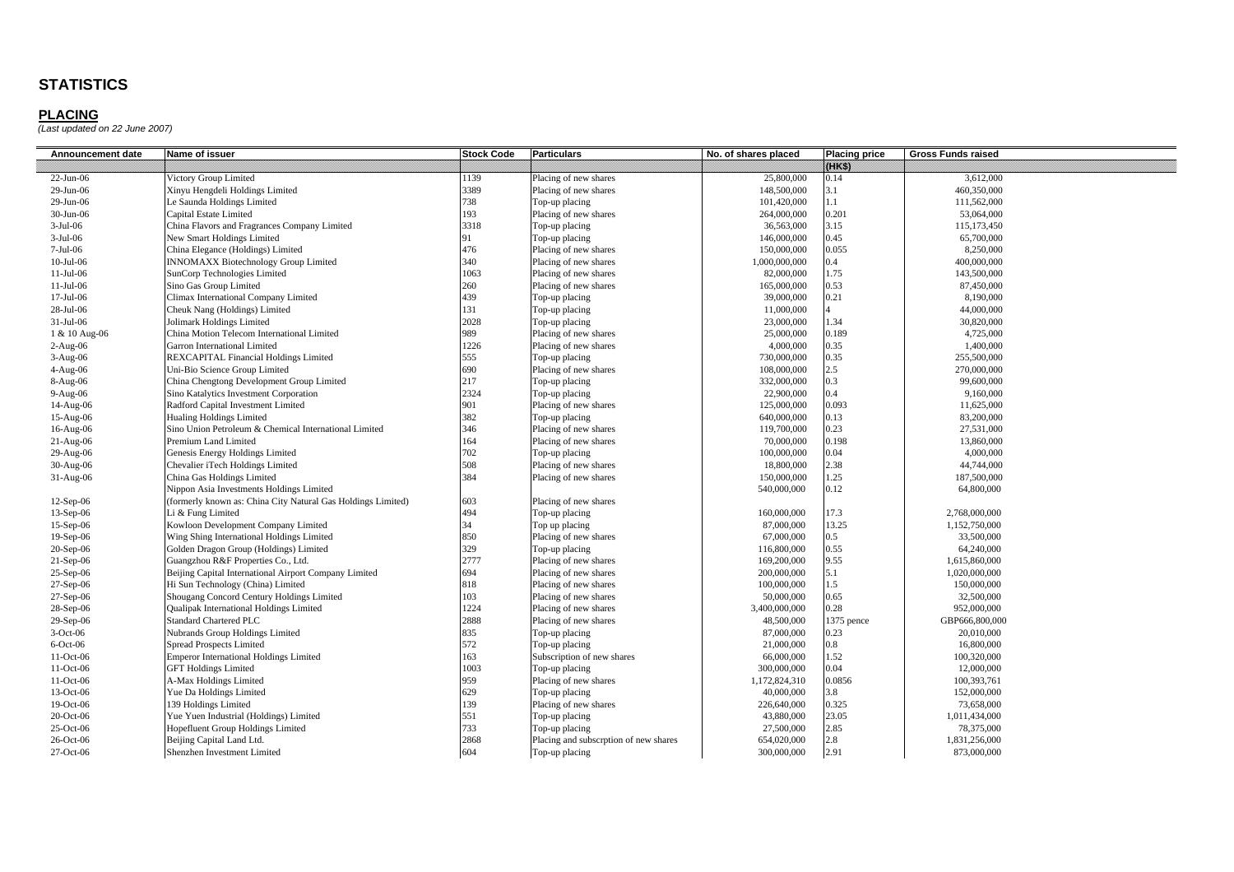| Announcement date | Name of issuer                                               | <b>Stock Code</b> | <b>Particulars</b>                    | No. of shares placed | <b>Placing price</b> | <b>Gross Funds raised</b> |
|-------------------|--------------------------------------------------------------|-------------------|---------------------------------------|----------------------|----------------------|---------------------------|
|                   |                                                              |                   |                                       |                      | 89833                |                           |
| 22-Jun-06         | Victory Group Limited                                        | 1139              | Placing of new shares                 | 25,800,000           | 0.14                 | 3,612,000                 |
| 29-Jun-06         | Xinyu Hengdeli Holdings Limited                              | 3389              | Placing of new shares                 | 148,500,000          | 3.1                  | 460,350,000               |
| 29-Jun-06         | Le Saunda Holdings Limited                                   | 738               | Top-up placing                        | 101,420,000          | 1.1                  | 111,562,000               |
| 30-Jun-06         | Capital Estate Limited                                       | 193               | Placing of new shares                 | 264,000,000          | 0.201                | 53,064,000                |
| $3-Jul-06$        | China Flavors and Fragrances Company Limited                 | 3318              | Top-up placing                        | 36,563,000           | 3.15                 | 115,173,450               |
| $3-Jul-06$        | New Smart Holdings Limited                                   | 91                | Top-up placing                        | 146,000,000          | 0.45                 | 65,700,000                |
| 7-Jul-06          | China Elegance (Holdings) Limited                            | 476               | Placing of new shares                 | 150,000,000          | 0.055                | 8,250,000                 |
| $10-Jul-06$       | <b>INNOMAXX Biotechnology Group Limited</b>                  | 340               | Placing of new shares                 | 1,000,000,000        | 0.4                  | 400,000,000               |
| $11-Jul-06$       | SunCorp Technologies Limited                                 | 1063              | Placing of new shares                 | 82,000,000           | 1.75                 | 143,500,000               |
| $11-Jul-06$       | Sino Gas Group Limited                                       | 260               | Placing of new shares                 | 165,000,000          | 0.53                 | 87,450,000                |
| $17-Jul-06$       | Climax International Company Limited                         | 439               | Top-up placing                        | 39,000,000           | 0.21                 | 8,190,000                 |
| 28-Jul-06         | Cheuk Nang (Holdings) Limited                                | 131               | Top-up placing                        | 11,000,000           |                      | 44,000,000                |
| 31-Jul-06         | Jolimark Holdings Limited                                    | 2028              | Top-up placing                        | 23,000,000           | 1.34                 | 30,820,000                |
| 1 & 10 Aug-06     | China Motion Telecom International Limited                   | 989               | Placing of new shares                 | 25,000,000           | 0.189                | 4,725,000                 |
| $2-Aug-06$        | Garron International Limited                                 | 1226              | Placing of new shares                 | 4,000,000            | 0.35                 | 1,400,000                 |
| $3-Aug-06$        | REXCAPITAL Financial Holdings Limited                        | 555               | Top-up placing                        | 730,000,000          | 0.35                 | 255,500,000               |
| $4-Aug-06$        | Uni-Bio Science Group Limited                                | 690               | Placing of new shares                 | 108,000,000          | 2.5                  | 270,000,000               |
| $8-Aug-06$        | China Chengtong Development Group Limited                    | 217               | Top-up placing                        | 332,000,000          | 0.3                  | 99,600,000                |
| 9-Aug-06          | Sino Katalytics Investment Corporation                       | 2324              | Top-up placing                        | 22,900,000           | 0.4                  | 9,160,000                 |
| 14-Aug-06         | Radford Capital Investment Limited                           | 901               | Placing of new shares                 | 125,000,000          | 0.093                | 11,625,000                |
| 15-Aug-06         | <b>Hualing Holdings Limited</b>                              | 382               | Top-up placing                        | 640,000,000          | 0.13                 | 83,200,000                |
| 16-Aug-06         | Sino Union Petroleum & Chemical International Limited        | 346               | Placing of new shares                 | 119,700,000          | 0.23                 | 27,531,000                |
| $21-Aug-06$       | Premium Land Limited                                         | 164               | Placing of new shares                 | 70,000,000           | 0.198                | 13,860,000                |
| 29-Aug-06         | Genesis Energy Holdings Limited                              | 702               | Top-up placing                        | 100,000,000          | 0.04                 | 4,000,000                 |
| 30-Aug-06         | Chevalier iTech Holdings Limited                             | 508               | Placing of new shares                 | 18,800,000           | 2.38                 | 44,744,000                |
| $31-Aug-06$       | China Gas Holdings Limited                                   | 384               | Placing of new shares                 | 150,000,000          | 1.25                 | 187,500,000               |
|                   | Nippon Asia Investments Holdings Limited                     |                   |                                       | 540,000,000          | 0.12                 | 64,800,000                |
| $12-Sep-06$       | (formerly known as: China City Natural Gas Holdings Limited) | 603               | Placing of new shares                 |                      |                      |                           |
| 13-Sep-06         | i & Fung Limited                                             | 494               | Top-up placing                        | 160,000,000          | 17.3                 | 2,768,000,000             |
| 15-Sep-06         | Kowloon Development Company Limited                          | 34                | Top up placing                        | 87,000,000           | 13.25                | 1,152,750,000             |
| 19-Sep-06         | Wing Shing International Holdings Limited                    | 850               | Placing of new shares                 | 67,000,000           | 0.5                  | 33,500,000                |
| $20-Sep-06$       | Golden Dragon Group (Holdings) Limited                       | 329               | Top-up placing                        | 116,800,000          | 0.55                 | 64,240,000                |
| $21-Sep-06$       | Guangzhou R&F Properties Co., Ltd.                           | 2777              | Placing of new shares                 | 169,200,000          | 9.55                 | 1,615,860,000             |
| 25-Sep-06         | Beijing Capital International Airport Company Limited        | 694               | Placing of new shares                 | 200,000,000          | 5.1                  | 1.020.000.000             |
| 27-Sep-06         | Hi Sun Technology (China) Limited                            | 818               | Placing of new shares                 | 100,000,000          | 1.5                  | 150,000,000               |
| 27-Sep-06         | Shougang Concord Century Holdings Limited                    | 103               | Placing of new shares                 | 50,000,000           | 0.65                 | 32,500,000                |
| 28-Sep-06         | Qualipak International Holdings Limited                      | 1224              | Placing of new shares                 | 3,400,000,000        | 0.28                 | 952,000,000               |
| $29-Sep-06$       | Standard Chartered PLC                                       | 2888              | Placing of new shares                 | 48,500,000           | 1375 pence           | GBP666,800,000            |
| $3-Oct-06$        | Nubrands Group Holdings Limited                              | 835               | Top-up placing                        | 87,000,000           | 0.23                 | 20,010,000                |
| $6$ -Oct-06       | <b>Spread Prospects Limited</b>                              | 572               | Top-up placing                        | 21,000,000           | 0.8                  | 16,800,000                |
| 11-Oct-06         | <b>Emperor International Holdings Limited</b>                | 163               | Subscription of new shares            | 66,000,000           | 1.52                 | 100,320,000               |
| 11-Oct-06         | <b>GFT Holdings Limited</b>                                  | 1003              | Top-up placing                        | 300,000,000          | 0.04                 | 12,000,000                |
| 11-Oct-06         | A-Max Holdings Limited                                       | 959               | Placing of new shares                 | 1,172,824,310        | 0.0856               | 100,393,761               |
| 13-Oct-06         | Yue Da Holdings Limited                                      | 629               | Top-up placing                        | 40,000,000           | 3.8                  | 152,000,000               |
| 19-Oct-06         | 139 Holdings Limited                                         | 139               | Placing of new shares                 | 226,640,000          | 0.325                | 73,658,000                |
| 20-Oct-06         | Yue Yuen Industrial (Holdings) Limited                       | 551               | Top-up placing                        | 43,880,000           | 23.05                | 1,011,434,000             |
| 25-Oct-06         | Hopefluent Group Holdings Limited                            | 733               | Top-up placing                        | 27,500,000           | 2.85                 | 78,375,000                |
| 26-Oct-06         | Beijing Capital Land Ltd.                                    | 2868              | Placing and subscrption of new shares | 654,020,000          | 2.8                  | 1,831,256,000             |
| 27-Oct-06         | Shenzhen Investment Limited                                  | 604               | Top-up placing                        | 300,000,000          | 2.91                 | 873,000,000               |
|                   |                                                              |                   |                                       |                      |                      |                           |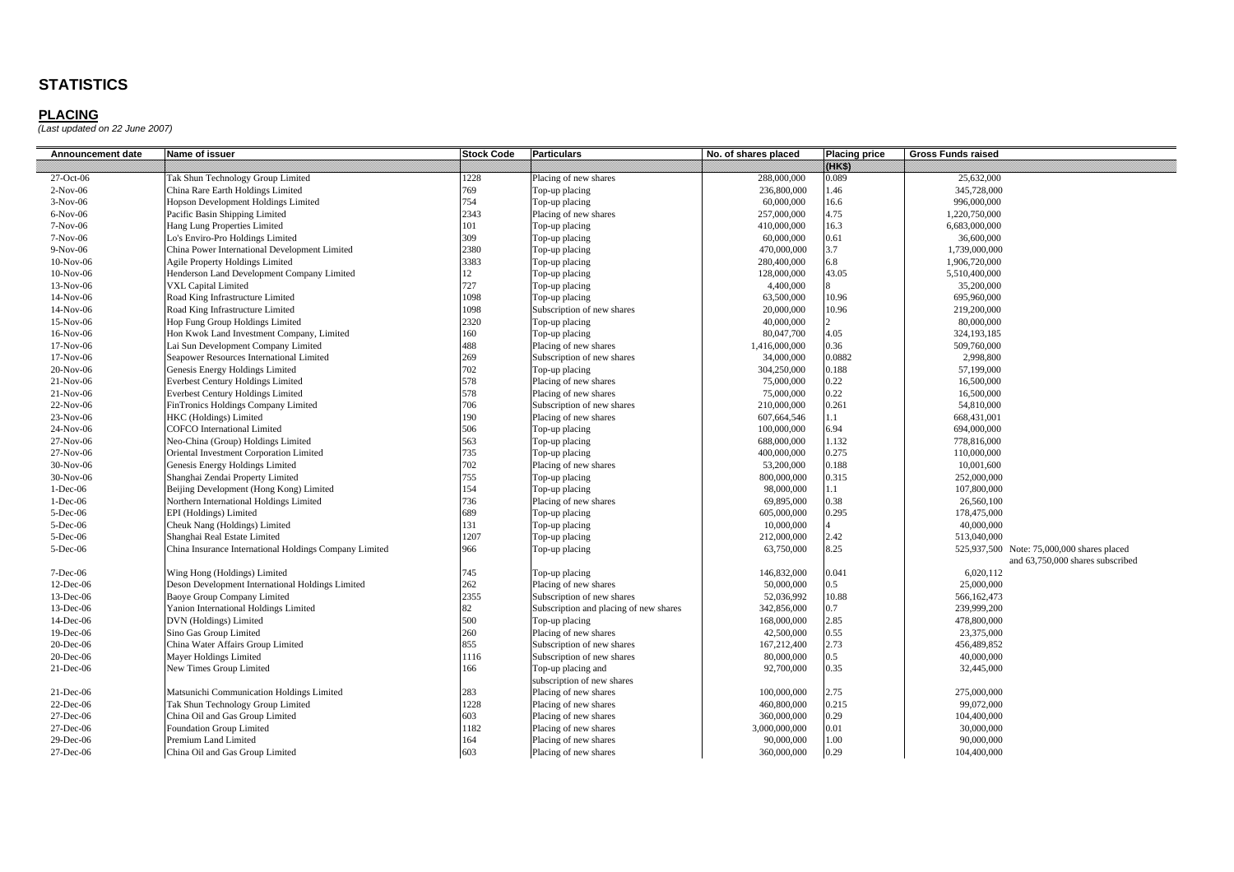| Announcement date | Name of issuer                                         | <b>Stock Code</b> | <b>Particulars</b>                     | No. of shares placed | <b>Placing price</b> | <b>Gross Funds raised</b>                  |
|-------------------|--------------------------------------------------------|-------------------|----------------------------------------|----------------------|----------------------|--------------------------------------------|
|                   |                                                        |                   |                                        |                      | 89883                |                                            |
| 27-Oct-06         | Tak Shun Technology Group Limited                      | 1228              | Placing of new shares                  | 288,000,000          | 0.089                | 25,632,000                                 |
| $2-Nov-06$        | China Rare Earth Holdings Limited                      | 769               | Top-up placing                         | 236,800,000          | 1.46                 | 345,728,000                                |
| $3-Nov-06$        | <b>Hopson Development Holdings Limited</b>             | 754               | Top-up placing                         | 60,000,000           | 16.6                 | 996,000,000                                |
| $6-Nov-06$        | Pacific Basin Shipping Limited                         | 2343              | Placing of new shares                  | 257,000,000          | 4.75                 | 1,220,750,000                              |
| 7-Nov-06          | Hang Lung Properties Limited                           | 101               | Top-up placing                         | 410,000,000          | 16.3                 | 6,683,000,000                              |
| 7-Nov-06          | Lo's Enviro-Pro Holdings Limited                       | 309               | Top-up placing                         | 60,000,000           | 0.61                 | 36,600,000                                 |
| $9-Nov-06$        | China Power International Development Limited          | 2380              | Top-up placing                         | 470,000,000          | 3.7                  | 1,739,000,000                              |
| 10-Nov-06         | <b>Agile Property Holdings Limited</b>                 | 3383              | Top-up placing                         | 280,400,000          | 6.8                  | 1,906,720,000                              |
| 10-Nov-06         | Henderson Land Development Company Limited             | 12 <sup>2</sup>   | Top-up placing                         | 128,000,000          | 43.05                | 5,510,400,000                              |
| 13-Nov-06         | <b>VXL Capital Limited</b>                             | 727               | Top-up placing                         | 4,400,000            |                      | 35,200,000                                 |
| 14-Nov-06         | Road King Infrastructure Limited                       | 1098              | Top-up placing                         | 63,500,000           | 10.96                | 695,960,000                                |
| 14-Nov-06         | Road King Infrastructure Limited                       | 1098              | Subscription of new shares             | 20,000,000           | 10.96                | 219,200,000                                |
| 15-Nov-06         | Hop Fung Group Holdings Limited                        | 2320              | Top-up placing                         | 40,000,000           | $\overline{2}$       | 80,000,000                                 |
| 16-Nov-06         | Hon Kwok Land Investment Company, Limited              | 160               | Top-up placing                         | 80,047,700           | 4.05                 | 324,193,185                                |
| 17-Nov-06         | Lai Sun Development Company Limited                    | 488               | Placing of new shares                  | 1,416,000,000        | 0.36                 | 509,760,000                                |
| 17-Nov-06         | Seapower Resources International Limited               | 269               | Subscription of new shares             | 34,000,000           | 0.0882               | 2,998,800                                  |
| 20-Nov-06         | Genesis Energy Holdings Limited                        | 702               | Top-up placing                         | 304,250,000          | 0.188                | 57,199,000                                 |
| $21-Nov-06$       | <b>Everbest Century Holdings Limited</b>               | 578               | Placing of new shares                  | 75,000,000           | 0.22                 | 16,500,000                                 |
| $21-Nov-06$       | <b>Everbest Century Holdings Limited</b>               | 578               | Placing of new shares                  | 75,000,000           | 0.22                 | 16,500,000                                 |
| 22-Nov-06         | FinTronics Holdings Company Limited                    | 706               | Subscription of new shares             | 210,000,000          | 0.261                | 54,810,000                                 |
| 23-Nov-06         | HKC (Holdings) Limited                                 | 190               | Placing of new shares                  | 607,664,546          | 1.1                  | 668,431,001                                |
| 24-Nov-06         | <b>COFCO</b> International Limited                     | 506               | Top-up placing                         | 100,000,000          | 6.94                 | 694,000,000                                |
| 27-Nov-06         | Neo-China (Group) Holdings Limited                     | 563               | Top-up placing                         | 688,000,000          | 1.132                | 778,816,000                                |
| 27-Nov-06         | Oriental Investment Corporation Limited                | 735               | Top-up placing                         | 400,000,000          | 0.275                | 110,000,000                                |
| 30-Nov-06         | Genesis Energy Holdings Limited                        | 702               | Placing of new shares                  | 53,200,000           | 0.188                | 10,001,600                                 |
| 30-Nov-06         | Shanghai Zendai Property Limited                       | 755               | Top-up placing                         | 800,000,000          | 0.315                | 252,000,000                                |
| $1-Dec-06$        | Beijing Development (Hong Kong) Limited                | 154               | Top-up placing                         | 98,000,000           | 1.1                  | 107,800,000                                |
| $1-Dec-06$        | Northern International Holdings Limited                | 736               | Placing of new shares                  | 69,895,000           | 0.38                 | 26,560,100                                 |
| 5-Dec-06          | EPI (Holdings) Limited                                 | 689               | Top-up placing                         | 605,000,000          | 0.295                | 178,475,000                                |
| 5-Dec-06          | Cheuk Nang (Holdings) Limited                          | 131               | Top-up placing                         | 10,000,000           |                      | 40,000,000                                 |
| 5-Dec-06          | Shanghai Real Estate Limited                           | 1207              | Top-up placing                         | 212,000,000          | 2.42                 | 513,040,000                                |
| 5-Dec-06          | China Insurance International Holdings Company Limited | 966               | Top-up placing                         | 63,750,000           | 8.25                 | 525,937,500 Note: 75,000,000 shares placed |
|                   |                                                        |                   |                                        |                      |                      | and 63,750,000 shares subscribed           |
| $7 - Dec -06$     | Wing Hong (Holdings) Limited                           | 745               | Top-up placing                         | 146,832,000          | 0.041                | 6.020.112                                  |
| 12-Dec-06         | Deson Development International Holdings Limited       | 262               | Placing of new shares                  | 50,000,000           | 0.5                  | 25,000,000                                 |
| 13-Dec-06         | Baoye Group Company Limited                            | 2355              | Subscription of new shares             | 52,036,992           | 10.88                | 566,162,473                                |
| 13-Dec-06         | Yanion International Holdings Limited                  | 82                | Subscription and placing of new shares | 342,856,000          | 0.7                  | 239,999,200                                |
| 14-Dec-06         | DVN (Holdings) Limited                                 | 500               | Top-up placing                         | 168,000,000          | 2.85                 | 478,800,000                                |
| 19-Dec-06         | Sino Gas Group Limited                                 | 260               | Placing of new shares                  | 42,500,000           | 0.55                 | 23,375,000                                 |
| 20-Dec-06         | China Water Affairs Group Limited                      | 855               | Subscription of new shares             | 167,212,400          | 2.73                 | 456,489,852                                |
| 20-Dec-06         | Mayer Holdings Limited                                 | 1116              | Subscription of new shares             | 80,000,000           | $0.5^{\circ}$        | 40,000,000                                 |
| $21$ -Dec-06      | New Times Group Limited                                | 166               | Top-up placing and                     | 92,700,000           | 0.35                 | 32,445,000                                 |
|                   |                                                        |                   | subscription of new shares             |                      |                      |                                            |
| $21$ -Dec-06      | Matsunichi Communication Holdings Limited              | 283               | Placing of new shares                  | 100,000,000          | 2.75                 | 275,000,000                                |
| 22-Dec-06         | Tak Shun Technology Group Limited                      | 1228              | Placing of new shares                  | 460,800,000          | 0.215                | 99,072,000                                 |
| 27-Dec-06         | China Oil and Gas Group Limited                        | 603               | Placing of new shares                  | 360,000,000          | 0.29                 | 104,400,000                                |
| 27-Dec-06         | <b>Foundation Group Limited</b>                        | 1182              | Placing of new shares                  | 3,000,000,000        | 0.01                 | 30,000,000                                 |
| 29-Dec-06         | Premium Land Limited                                   | 164               | Placing of new shares                  | 90,000,000           | 1.00                 | 90,000,000                                 |
| 27-Dec-06         | China Oil and Gas Group Limited                        | 603               | Placing of new shares                  | 360,000,000          | 0.29                 | 104,400,000                                |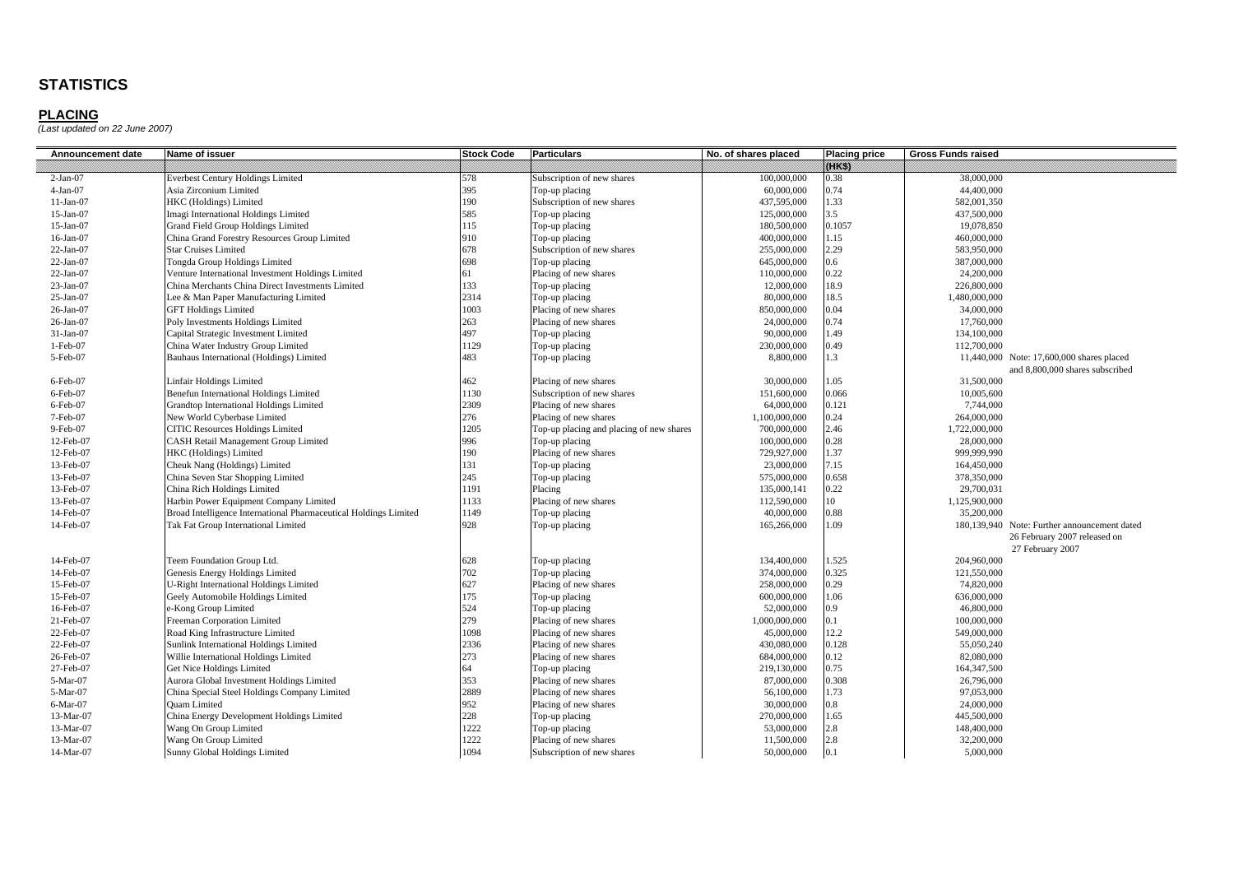| Announcement date | Name of issuer                                                   | <b>Stock Code</b> | <b>Particulars</b>                       | No. of shares placed | <b>Placing price</b> | <b>Gross Funds raised</b>                    |
|-------------------|------------------------------------------------------------------|-------------------|------------------------------------------|----------------------|----------------------|----------------------------------------------|
|                   |                                                                  |                   |                                          |                      | 89833                |                                              |
| $2-Jan-07$        | <b>Everbest Century Holdings Limited</b>                         | 578               | Subscription of new shares               | 100,000,000          | 0.38                 | 38,000,000                                   |
| $4-Jan-07$        | Asia Zirconium Limited                                           | 395               | Top-up placing                           | 60,000,000           | 0.74                 | 44,400,000                                   |
| $11-Jan-07$       | <b>HKC</b> (Holdings) Limited                                    | 190               | Subscription of new shares               | 437,595,000          | 1.33                 | 582,001,350                                  |
| $15$ -Jan-07      | Imagi International Holdings Limited                             | 585               | Top-up placing                           | 125,000,000          | $3.5^{\circ}$        | 437,500,000                                  |
| $15-Jan-07$       | Grand Field Group Holdings Limited                               | 115               | Top-up placing                           | 180,500,000          | 0.1057               | 19,078,850                                   |
| $16$ -Jan- $07$   | China Grand Forestry Resources Group Limited                     | 910               | Top-up placing                           | 400,000,000          | 1.15                 | 460,000,000                                  |
| $22-Jan-07$       | <b>Star Cruises Limited</b>                                      | 678               | Subscription of new shares               | 255,000,000          | 2.29                 | 583,950,000                                  |
| $22-Jan-07$       | Tongda Group Holdings Limited                                    | 698               | Top-up placing                           | 645,000,000          | 0.6                  | 387,000,000                                  |
| 22-Jan-07         | Venture International Investment Holdings Limited                | 61                | Placing of new shares                    | 110,000,000          | 0.22                 | 24,200,000                                   |
| $23$ -Jan-07      | China Merchants China Direct Investments Limited                 | 133               | Top-up placing                           | 12,000,000           | 18.9                 | 226,800,000                                  |
| 25-Jan-07         | Lee & Man Paper Manufacturing Limited                            | 2314              | Top-up placing                           | 80,000,000           | 18.5                 | 1,480,000,000                                |
| 26-Jan-07         | <b>GFT Holdings Limited</b>                                      | 1003              | Placing of new shares                    | 850,000,000          | 0.04                 | 34,000,000                                   |
| 26-Jan-07         | Poly Investments Holdings Limited                                | 263               | Placing of new shares                    | 24,000,000           | 0.74                 | 17,760,000                                   |
| 31-Jan-07         | Capital Strategic Investment Limited                             | 497               | Top-up placing                           | 90,000,000           | 1.49                 | 134,100,000                                  |
| $1-Feb-07$        | China Water Industry Group Limited                               | 1129              | Top-up placing                           | 230,000,000          | 0.49                 | 112,700,000                                  |
| 5-Feb-07          | Bauhaus International (Holdings) Limited                         | 483               | Top-up placing                           | 8,800,000            | 1.3                  | 11,440,000 Note: 17,600,000 shares placed    |
|                   |                                                                  |                   |                                          |                      |                      | and 8,800,000 shares subscribed              |
| 6-Feb-07          | Linfair Holdings Limited                                         | 462               | Placing of new shares                    | 30,000,000           | 1.05                 | 31,500,000                                   |
| $6$ -Feb-07       | <b>Benefun International Holdings Limited</b>                    | 1130              | Subscription of new shares               | 151,600,000          | 0.066                | 10,005,600                                   |
| 6-Feb-07          | Grandtop International Holdings Limited                          | 2309              | Placing of new shares                    | 64,000,000           | 0.121                | 7,744,000                                    |
| 7-Feb-07          | New World Cyberbase Limited                                      | 276               | Placing of new shares                    | 1,100,000,000        | 0.24                 | 264,000,000                                  |
| 9-Feb-07          | <b>CITIC Resources Holdings Limited</b>                          | 1205              | Top-up placing and placing of new shares | 700,000,000          | 2.46                 | 1,722,000,000                                |
| 12-Feb-07         | <b>CASH Retail Management Group Limited</b>                      | 996               | Top-up placing                           | 100,000,000          | 0.28                 | 28,000,000                                   |
| 12-Feb-07         | HKC (Holdings) Limited                                           | 190               | Placing of new shares                    | 729,927,000          | 1.37                 | 999,999,990                                  |
| 13-Feb-07         | Cheuk Nang (Holdings) Limited                                    | 131               | Top-up placing                           | 23,000,000           | 7.15                 | 164,450,000                                  |
| 13-Feb-07         | China Seven Star Shopping Limited                                | 245               | Top-up placing                           | 575,000,000          | 0.658                | 378,350,000                                  |
| 13-Feb-07         | China Rich Holdings Limited                                      | 1191              | Placing                                  | 135,000,141          | 0.22                 | 29,700,031                                   |
| 13-Feb-07         | Harbin Power Equipment Company Limited                           | 1133              | Placing of new shares                    | 112,590,000          | 10                   | 1,125,900,000                                |
| 14-Feb-07         | Broad Intelligence International Pharmaceutical Holdings Limited | 1149              | Top-up placing                           | 40,000,000           | 0.88                 | 35,200,000                                   |
| 14-Feb-07         | Tak Fat Group International Limited                              | 928               | Top-up placing                           | 165,266,000          | 1.09                 | 180,139,940 Note: Further announcement dated |
|                   |                                                                  |                   |                                          |                      |                      | 26 February 2007 released on                 |
|                   |                                                                  |                   |                                          |                      |                      | 27 February 2007                             |
| 14-Feb-07         | Teem Foundation Group Ltd.                                       | 628               | Top-up placing                           | 134,400,000          | 1.525                | 204,960,000                                  |
| 14-Feb-07         | Genesis Energy Holdings Limited                                  | 702               | Top-up placing                           | 374,000,000          | 0.325                | 121,550,000                                  |
| 15-Feb-07         | J-Right International Holdings Limited                           | 627               | Placing of new shares                    | 258,000,000          | 0.29                 | 74,820,000                                   |
| 15-Feb-07         | Geely Automobile Holdings Limited                                | 175               | Top-up placing                           | 600,000,000          | 1.06                 | 636,000,000                                  |
| 16-Feb-07         | e-Kong Group Limited                                             | 524               | Top-up placing                           | 52,000,000           | 0.9                  | 46,800,000                                   |
| 21-Feb-07         | Freeman Corporation Limited                                      | 279               | Placing of new shares                    | 1,000,000,000        | 0.1                  | 100,000,000                                  |
| 22-Feb-07         | Road King Infrastructure Limited                                 | 1098              | Placing of new shares                    | 45,000,000           | 12.2                 | 549,000,000                                  |
| 22-Feb-07         | Sunlink International Holdings Limited                           | 2336              | Placing of new shares                    | 430,080,000          | 0.128                | 55,050,240                                   |
| 26-Feb-07         | Willie International Holdings Limited                            | 273               | Placing of new shares                    | 684,000,000          | 0.12                 | 82,080,000                                   |
| 27-Feb-07         | Get Nice Holdings Limited                                        | 64                | Top-up placing                           | 219,130,000          | 0.75                 | 164,347,500                                  |
| 5-Mar-07          | Aurora Global Investment Holdings Limited                        | 353               | Placing of new shares                    | 87,000,000           | 0.308                | 26,796,000                                   |
| 5-Mar-07          | China Special Steel Holdings Company Limited                     | 2889              | Placing of new shares                    | 56,100,000           | 1.73                 | 97,053,000                                   |
| 6-Mar-07          | <b>Quam Limited</b>                                              | 952               | Placing of new shares                    | 30,000,000           | $0.8\,$              | 24,000,000                                   |
| 13-Mar-07         | China Energy Development Holdings Limited                        | 228               | Top-up placing                           | 270,000,000          | 1.65                 | 445,500,000                                  |
| 13-Mar-07         | Wang On Group Limited                                            | 1222<br>1222      | Top-up placing                           | 53,000,000           | 2.8                  | 148,400,000                                  |
| 13-Mar-07         | Wang On Group Limited                                            |                   | Placing of new shares                    | 11,500,000           | 2.8                  | 32,200,000                                   |
| 14-Mar-07         | Sunny Global Holdings Limited                                    | 1094              | Subscription of new shares               | 50,000,000           | 0.1                  | 5,000,000                                    |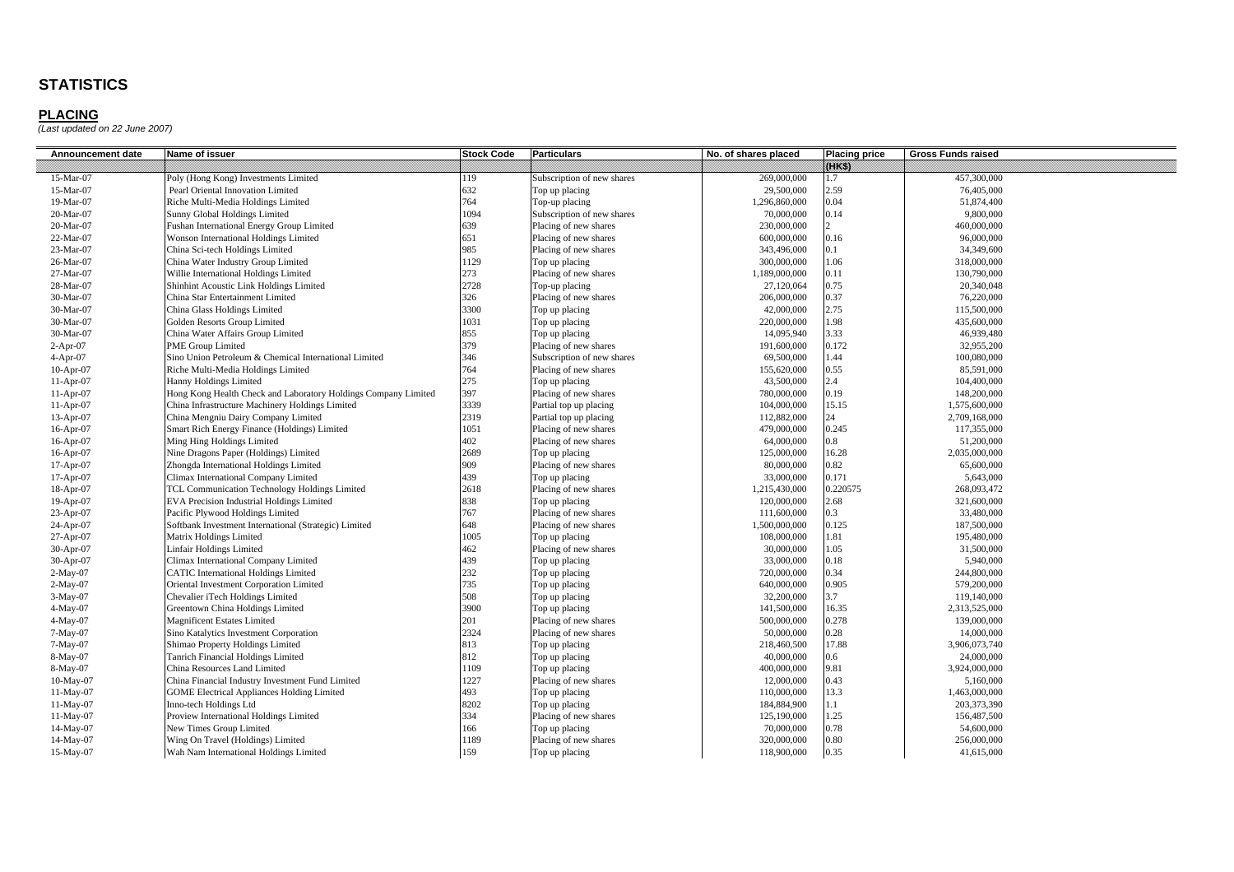| Announcement date | Name of issuer                                                 | <b>Stock Code</b> | <b>Particulars</b>         | No. of shares placed | <b>Placing price</b> | <b>Gross Funds raised</b> |
|-------------------|----------------------------------------------------------------|-------------------|----------------------------|----------------------|----------------------|---------------------------|
|                   |                                                                |                   |                            |                      | 89833                |                           |
| 15-Mar-07         | Poly (Hong Kong) Investments Limited                           | 119               | Subscription of new shares | 269,000,000          | 1.7                  | 457,300,000               |
| 15-Mar-07         | Pearl Oriental Innovation Limited                              | 632               | Top up placing             | 29,500,000           | 2.59                 | 76,405,000                |
| 19-Mar-07         | Riche Multi-Media Holdings Limited                             | 764               | Top-up placing             | 1,296,860,000        | 0.04                 | 51,874,400                |
| 20-Mar-07         | Sunny Global Holdings Limited                                  | 1094              | Subscription of new shares | 70,000,000           | 0.14                 | 9,800,000                 |
| 20-Mar-07         | Fushan International Energy Group Limited                      | 639               | Placing of new shares      | 230,000,000          |                      | 460,000,000               |
| 22-Mar-07         | Wonson International Holdings Limited                          | 651               | Placing of new shares      | 600,000,000          | 0.16                 | 96,000,000                |
| 23-Mar-07         | China Sci-tech Holdings Limited                                | 985               | Placing of new shares      | 343,496,000          | 0.1                  | 34,349,600                |
| 26-Mar-07         | China Water Industry Group Limited                             | 1129              | Top up placing             | 300,000,000          | 1.06                 | 318,000,000               |
| 27-Mar-07         | Willie International Holdings Limited                          | 273               | Placing of new shares      | 1,189,000,000        | 0.11                 | 130,790,000               |
| 28-Mar-07         | Shinhint Acoustic Link Holdings Limited                        | 2728              | Top-up placing             | 27,120,064           | 0.75                 | 20,340,048                |
| 30-Mar-07         | China Star Entertainment Limited                               | 326               | Placing of new shares      | 206,000,000          | 0.37                 | 76,220,000                |
| 30-Mar-07         | China Glass Holdings Limited                                   | 3300              | Top up placing             | 42,000,000           | 2.75                 | 115,500,000               |
| 30-Mar-07         | Golden Resorts Group Limited                                   | 1031              | Top up placing             | 220,000,000          | 1.98                 | 435,600,000               |
| 30-Mar-07         | China Water Affairs Group Limited                              | 855               | Top up placing             | 14,095,940           | 3.33                 | 46.939.480                |
| $2-Apr-07$        | PME Group Limited                                              | 379               | Placing of new shares      | 191,600,000          | 0.172                | 32,955,200                |
| $4-Apr-07$        | Sino Union Petroleum & Chemical International Limited          | 346               | Subscription of new shares | 69,500,000           | 1.44                 | 100,080,000               |
| $10-Apr-07$       | Riche Multi-Media Holdings Limited                             | 764               | Placing of new shares      | 155,620,000          | 0.55                 | 85,591,000                |
| $11-Apr-07$       | Hanny Holdings Limited                                         | 275               | Top up placing             | 43,500,000           | 2.4                  | 104,400,000               |
| $11-Apr-07$       | Hong Kong Health Check and Laboratory Holdings Company Limited | 397               | Placing of new shares      | 780,000,000          | 0.19                 | 148,200,000               |
| $11-Apr-07$       | China Infrastructure Machinery Holdings Limited                | 3339              | Partial top up placing     | 104,000,000          | 15.15                | 1,575,600,000             |
| 13-Apr-07         | China Mengniu Dairy Company Limited                            | 2319              | Partial top up placing     | 112,882,000          | 24                   | 2,709,168,000             |
| 16-Apr-07         | Smart Rich Energy Finance (Holdings) Limited                   | 1051              | Placing of new shares      | 479,000,000          | 0.245                | 117,355,000               |
| 16-Apr-07         | Ming Hing Holdings Limited                                     | 402               | Placing of new shares      | 64,000,000           | 0.8                  | 51,200,000                |
| 16-Apr-07         | Nine Dragons Paper (Holdings) Limited                          | 2689              | Top up placing             | 125,000,000          | 16.28                | 2,035,000,000             |
| $17-Apr-07$       | Zhongda International Holdings Limited                         | 909               | Placing of new shares      | 80,000,000           | 0.82                 | 65,600,000                |
| 17-Apr-07         | Climax International Company Limited                           | 439               | Top up placing             | 33,000,000           | 0.171                | 5,643,000                 |
| 18-Apr-07         | TCL Communication Technology Holdings Limited                  | 2618              | Placing of new shares      | 1,215,430,000        | 0.220575             | 268,093,472               |
| 19-Apr-07         | EVA Precision Industrial Holdings Limited                      | 838               | Top up placing             | 120,000,000          | 2.68                 | 321,600,000               |
| 23-Apr-07         | Pacific Plywood Holdings Limited                               | 767               | Placing of new shares      | 111,600,000          | 0.3                  | 33,480,000                |
| 24-Apr-07         | Softbank Investment International (Strategic) Limited          | 648               | Placing of new shares      | 1,500,000,000        | 0.125                | 187,500,000               |
| 27-Apr-07         | Matrix Holdings Limited                                        | 1005              | Top up placing             | 108,000,000          | 1.81                 | 195,480,000               |
| 30-Apr-07         | Linfair Holdings Limited                                       | 462               | Placing of new shares      | 30,000,000           | 1.05                 | 31,500,000                |
| 30-Apr-07         | Climax International Company Limited                           | 439               | Top up placing             | 33,000,000           | 0.18                 | 5,940,000                 |
| $2-May-07$        | <b>CATIC International Holdings Limited</b>                    | 232               | Top up placing             | 720,000,000          | 0.34                 | 244,800,000               |
| $2-May-07$        | Oriental Investment Corporation Limited                        | 735               | Top up placing             | 640,000,000          | 0.905                | 579,200,000               |
| 3-May-07          | Chevalier iTech Holdings Limited                               | 508               | Top up placing             | 32,200,000           | 3.7                  | 119,140,000               |
| $4-May-07$        | Greentown China Holdings Limited                               | 3900              | Top up placing             | 141,500,000          | 16.35                | 2,313,525,000             |
| 4-May-07          | <b>Magnificent Estates Limited</b>                             | 201               | Placing of new shares      | 500,000,000          | 0.278                | 139,000,000               |
| 7-May-07          | Sino Katalytics Investment Corporation                         | 2324              | Placing of new shares      | 50,000,000           | 0.28                 | 14,000,000                |
| 7-May-07          | Shimao Property Holdings Limited                               | 813               | Top up placing             | 218,460,500          | 17.88                | 3,906,073,740             |
| 8-May-07          | Tanrich Financial Holdings Limited                             | 812               | Top up placing             | 40,000,000           | $0.6\,$              | 24,000,000                |
| 8-May-07          | China Resources Land Limited                                   | 1109              | Top up placing             | 400,000,000          | 9.81                 | 3,924,000,000             |
| 10-May-07         | China Financial Industry Investment Fund Limited               | 1227              | Placing of new shares      | 12,000,000           | 0.43                 | 5,160,000                 |
| 11-May-07         | <b>GOME Electrical Appliances Holding Limited</b>              | 493               | Top up placing             | 110,000,000          | 13.3                 | 1,463,000,000             |
| 11-May-07         | Inno-tech Holdings Ltd                                         | 8202              | Top up placing             | 184,884,900          | 1.1                  | 203,373,390               |
| 11-May-07         | Proview International Holdings Limited                         | 334               | Placing of new shares      | 125,190,000          | 1.25                 | 156,487,500               |
| 14-May-07         | New Times Group Limited                                        | 166               | Top up placing             | 70,000,000           | 0.78                 | 54,600,000                |
| 14-May-07         | Wing On Travel (Holdings) Limited                              | 1189              | Placing of new shares      | 320,000,000          | 0.80                 | 256,000,000               |
| 15-May-07         | Wah Nam International Holdings Limited                         | 159               | Top up placing             | 118,900,000          | 0.35                 | 41,615,000                |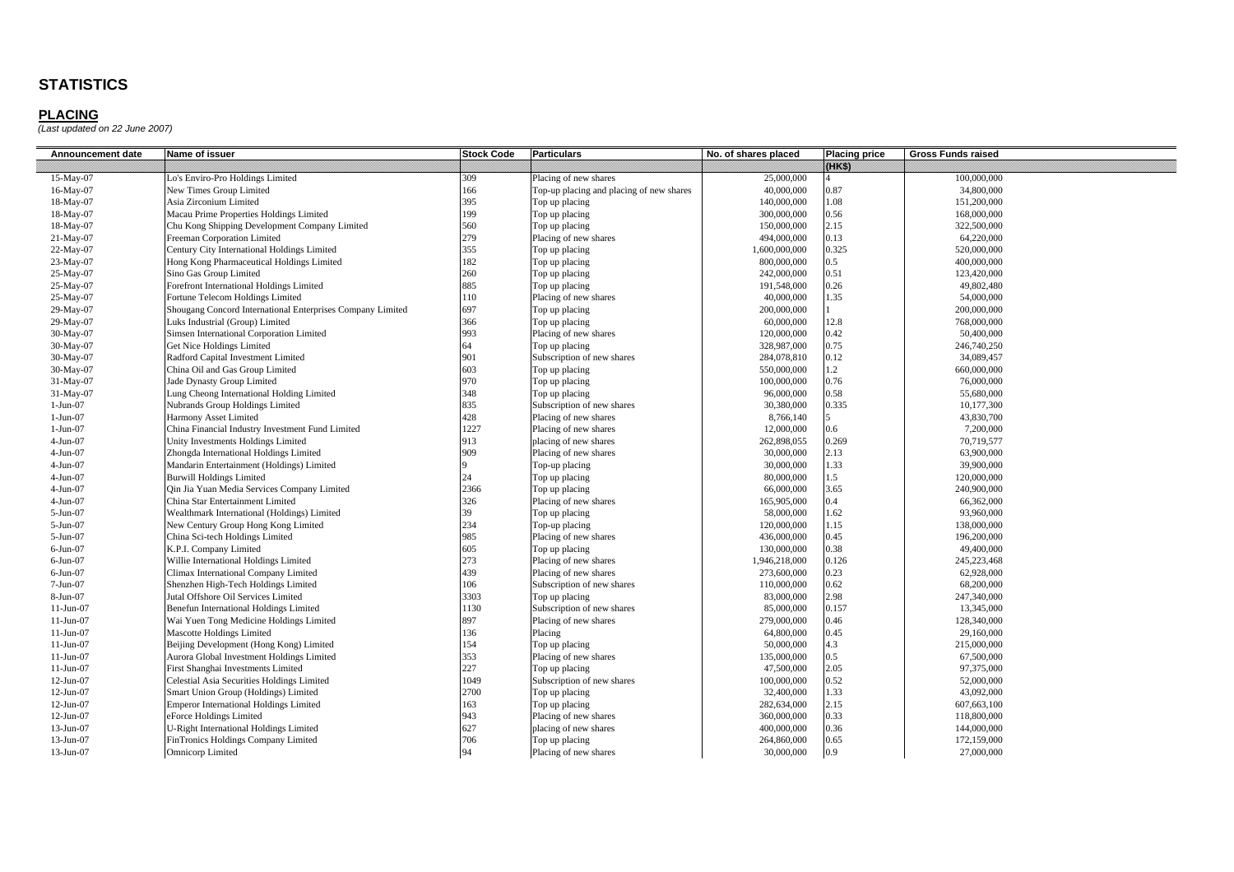| Announcement date | Name of issuer                                             | <b>Stock Code</b> | <b>Particulars</b>                       | No. of shares placed | <b>Placing price</b> | <b>Gross Funds raised</b> |
|-------------------|------------------------------------------------------------|-------------------|------------------------------------------|----------------------|----------------------|---------------------------|
|                   |                                                            |                   |                                          |                      | 888888               |                           |
| 15-May-07         | Lo's Enviro-Pro Holdings Limited                           | 309               | Placing of new shares                    | 25,000,000           |                      | 100,000,000               |
| 16-May-07         | New Times Group Limited                                    | 166               | Top-up placing and placing of new shares | 40,000,000           | 0.87                 | 34,800,000                |
| 18-May-07         | Asia Zirconium Limited                                     | 395               | Top up placing                           | 140,000,000          | 1.08                 | 151,200,000               |
| 18-May-07         | Macau Prime Properties Holdings Limited                    | 199               | Top up placing                           | 300,000,000          | 0.56                 | 168,000,000               |
| 18-May-07         | Chu Kong Shipping Development Company Limited              | 560               | Top up placing                           | 150,000,000          | 2.15                 | 322,500,000               |
| 21-May-07         | Freeman Corporation Limited                                | 279               | Placing of new shares                    | 494,000,000          | 0.13                 | 64,220,000                |
| 22-May-07         | Century City International Holdings Limited                | 355               | Top up placing                           | 1,600,000,000        | 0.325                | 520,000,000               |
| 23-May-07         | Hong Kong Pharmaceutical Holdings Limited                  | 182               | Top up placing                           | 800,000,000          | 0.5                  | 400,000,000               |
| 25-May-07         | Sino Gas Group Limited                                     | 260               | Top up placing                           | 242,000,000          | 0.51                 | 123,420,000               |
| 25-May-07         | Forefront International Holdings Limited                   | 885               | Top up placing                           | 191,548,000          | 0.26                 | 49,802,480                |
| 25-May-07         | Fortune Telecom Holdings Limited                           | 110               | Placing of new shares                    | 40,000,000           | 1.35                 | 54,000,000                |
| 29-May-07         | Shougang Concord International Enterprises Company Limited | 697               | Top up placing                           | 200,000,000          |                      | 200,000,000               |
| 29-May-07         | Luks Industrial (Group) Limited                            | 366               | Top up placing                           | 60,000,000           | 12.8                 | 768,000,000               |
| 30-May-07         | Simsen International Corporation Limited                   | 993               | Placing of new shares                    | 120,000,000          | 0.42                 | 50,400,000                |
| 30-May-07         | Get Nice Holdings Limited                                  | 64                | Top up placing                           | 328,987,000          | 0.75                 | 246,740,250               |
| 30-May-07         | Radford Capital Investment Limited                         | 901               | Subscription of new shares               | 284,078,810          | 0.12                 | 34,089,457                |
| 30-May-07         | China Oil and Gas Group Limited                            | 603               | Top up placing                           | 550,000,000          | $1.2^{\circ}$        | 660,000,000               |
| 31-May-07         | Jade Dynasty Group Limited                                 | 970               | Top up placing                           | 100,000,000          | 0.76                 | 76,000,000                |
| 31-May-07         | Lung Cheong International Holding Limited                  | 348               | Top up placing                           | 96,000,000           | 0.58                 | 55,680,000                |
| $1-Jun-07$        | Nubrands Group Holdings Limited                            | 835               | Subscription of new shares               | 30,380,000           | 0.335                | 10,177,300                |
| $1-Jun-07$        | Harmony Asset Limited                                      | 428               | Placing of new shares                    | 8,766,140            | $\leq$               | 43,830,700                |
| $1-Jun-07$        | China Financial Industry Investment Fund Limited           | 1227              | Placing of new shares                    | 12,000,000           | 0.6                  | 7,200,000                 |
| $4-Jun-07$        | Unity Investments Holdings Limited                         | 913               | placing of new shares                    | 262,898,055          | 0.269                | 70,719,577                |
| $4-Jun-07$        | Zhongda International Holdings Limited                     | 909               | Placing of new shares                    | 30,000,000           | 2.13                 | 63,900,000                |
| $4-Jun-07$        | Mandarin Entertainment (Holdings) Limited                  | $\mathbf{Q}$      | Top-up placing                           | 30,000,000           | 1.33                 | 39,900,000                |
| $4-Jun-07$        | <b>Burwill Holdings Limited</b>                            | 24                | Top up placing                           | 80,000,000           | 1.5                  | 120,000,000               |
| $4-Jun-07$        | Qin Jia Yuan Media Services Company Limited                | 2366              | Top up placing                           | 66,000,000           | 3.65                 | 240,900,000               |
| $4-Jun-07$        | China Star Entertainment Limited                           | 326               | Placing of new shares                    | 165,905,000          | $0.4^{\circ}$        | 66,362,000                |
| 5-Jun-07          | Wealthmark International (Holdings) Limited                | 39                | Top up placing                           | 58,000,000           | 1.62                 | 93,960,000                |
| 5-Jun-07          | New Century Group Hong Kong Limited                        | 234               | Top-up placing                           | 120,000,000          | 1.15                 | 138,000,000               |
| 5-Jun-07          | China Sci-tech Holdings Limited                            | 985               | Placing of new shares                    | 436,000,000          | 0.45                 | 196,200,000               |
| $6$ -Jun-07       | K.P.I. Company Limited                                     | 605               | Top up placing                           | 130,000,000          | 0.38                 | 49,400,000                |
| $6$ -Jun-07       | Willie International Holdings Limited                      | 273               | Placing of new shares                    | 1,946,218,000        | 0.126                | 245,223,468               |
| $6$ -Jun-07       | Climax International Company Limited                       | 439               | Placing of new shares                    | 273,600,000          | 0.23                 | 62,928,000                |
| $7-Jun-07$        | Shenzhen High-Tech Holdings Limited                        | 106               | Subscription of new shares               | 110,000,000          | 0.62                 | 68,200,000                |
| 8-Jun-07          | Jutal Offshore Oil Services Limited                        | 3303              | Top up placing                           | 83,000,000           | 2.98                 | 247,340,000               |
| 11-Jun-07         | Benefun International Holdings Limited                     | 1130              | Subscription of new shares               | 85,000,000           | 0.157                | 13,345,000                |
| 11-Jun-07         | Wai Yuen Tong Medicine Holdings Limited                    | 897               | Placing of new shares                    | 279,000,000          | 0.46                 | 128,340,000               |
| $11-Jun-07$       | <b>Mascotte Holdings Limited</b>                           | 136               | Placing                                  | 64,800,000           | 0.45                 | 29,160,000                |
| 11-Jun-07         | Beijing Development (Hong Kong) Limited                    | 154               | Top up placing                           | 50,000,000           | 4.3                  | 215,000,000               |
| $11-Jun-07$       | Aurora Global Investment Holdings Limited                  | 353               | Placing of new shares                    | 135,000,000          | $0.5^{\circ}$        | 67,500,000                |
| $11-Jun-07$       | First Shanghai Investments Limited                         | 227               | Top up placing                           | 47,500,000           | 2.05                 | 97,375,000                |
| 12-Jun-07         | Celestial Asia Securities Holdings Limited                 | 1049              | Subscription of new shares               | 100,000,000          | 0.52                 | 52,000,000                |
| 12-Jun-07         | Smart Union Group (Holdings) Limited                       | 2700              | Top up placing                           | 32,400,000           | 1.33                 | 43,092,000                |
| 12-Jun-07         | <b>Emperor International Holdings Limited</b>              | 163               | Top up placing                           | 282,634,000          | 2.15                 | 607,663,100               |
| 12-Jun-07         | eForce Holdings Limited                                    | 943               | Placing of new shares                    | 360,000,000          | 0.33                 | 118,800,000               |
| 13-Jun-07         | <b>U-Right International Holdings Limited</b>              | 627               | placing of new shares                    | 400,000,000          | 0.36                 | 144,000,000               |
| 13-Jun-07         | FinTronics Holdings Company Limited                        | 706               | Top up placing                           | 264,860,000          | 0.65                 | 172,159,000               |
| 13-Jun-07         | Omnicorp Limited                                           | 94                | Placing of new shares                    | 30,000,000           | 0.9                  | 27,000,000                |